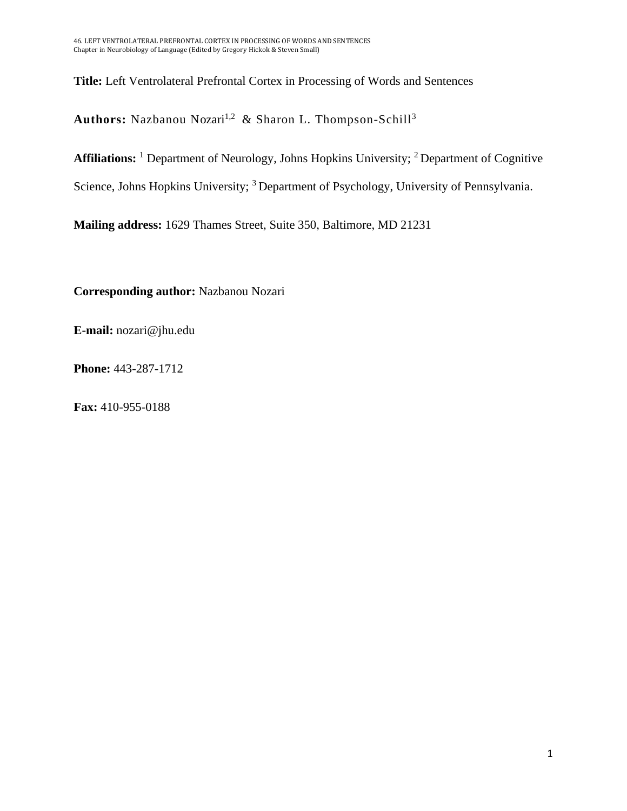**Title:** Left Ventrolateral Prefrontal Cortex in Processing of Words and Sentences

Authors: Nazbanou Nozari<sup>1,2</sup> & Sharon L. Thompson-Schill<sup>3</sup>

Affiliations: <sup>1</sup> Department of Neurology, Johns Hopkins University; <sup>2</sup> Department of Cognitive

Science, Johns Hopkins University; <sup>3</sup> Department of Psychology, University of Pennsylvania.

**Mailing address:** 1629 Thames Street, Suite 350, Baltimore, MD 21231

**Corresponding author:** Nazbanou Nozari

**E-mail:** nozari@jhu.edu

**Phone:** 443-287-1712

**Fax:** 410-955-0188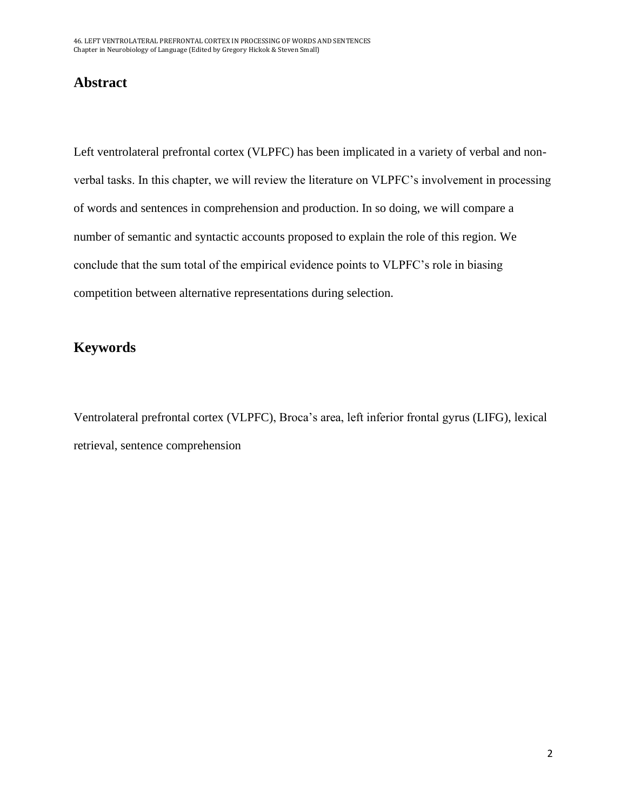# **Abstract**

Left ventrolateral prefrontal cortex (VLPFC) has been implicated in a variety of verbal and nonverbal tasks. In this chapter, we will review the literature on VLPFC's involvement in processing of words and sentences in comprehension and production. In so doing, we will compare a number of semantic and syntactic accounts proposed to explain the role of this region. We conclude that the sum total of the empirical evidence points to VLPFC's role in biasing competition between alternative representations during selection.

# **Keywords**

Ventrolateral prefrontal cortex (VLPFC), Broca's area, left inferior frontal gyrus (LIFG), lexical retrieval, sentence comprehension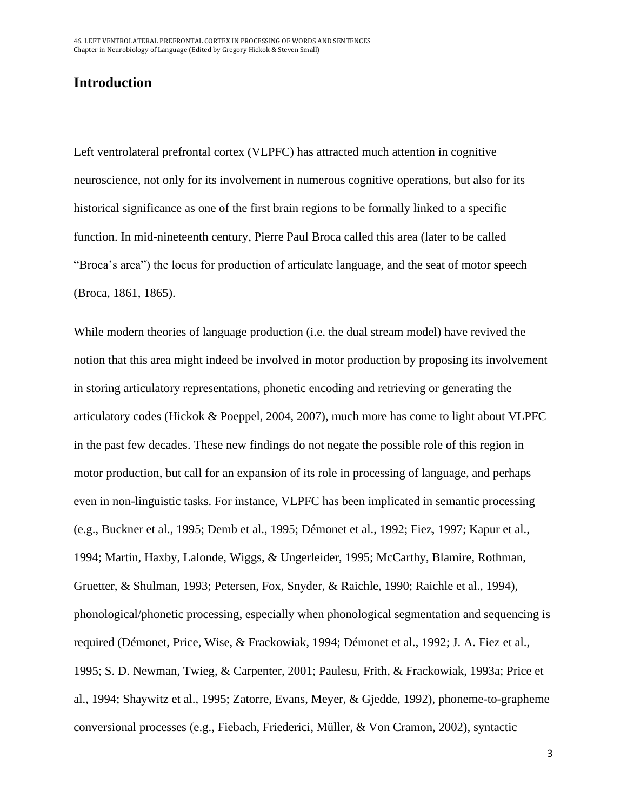## **Introduction**

Left ventrolateral prefrontal cortex (VLPFC) has attracted much attention in cognitive neuroscience, not only for its involvement in numerous cognitive operations, but also for its historical significance as one of the first brain regions to be formally linked to a specific function. In mid-nineteenth century, Pierre Paul Broca called this area (later to be called "Broca's area") the locus for production of articulate language, and the seat of motor speech (Broca, 1861, 1865).

While modern theories of language production (i.e. the dual stream model) have revived the notion that this area might indeed be involved in motor production by proposing its involvement in storing articulatory representations, phonetic encoding and retrieving or generating the articulatory codes (Hickok & Poeppel, 2004, 2007), much more has come to light about VLPFC in the past few decades. These new findings do not negate the possible role of this region in motor production, but call for an expansion of its role in processing of language, and perhaps even in non-linguistic tasks. For instance, VLPFC has been implicated in semantic processing (e.g., Buckner et al., 1995; Demb et al., 1995; Démonet et al., 1992; Fiez, 1997; Kapur et al., 1994; Martin, Haxby, Lalonde, Wiggs, & Ungerleider, 1995; McCarthy, Blamire, Rothman, Gruetter, & Shulman, 1993; Petersen, Fox, Snyder, & Raichle, 1990; Raichle et al., 1994), phonological/phonetic processing, especially when phonological segmentation and sequencing is required (Démonet, Price, Wise, & Frackowiak, 1994; Démonet et al., 1992; J. A. Fiez et al., 1995; S. D. Newman, Twieg, & Carpenter, 2001; Paulesu, Frith, & Frackowiak, 1993a; Price et al., 1994; Shaywitz et al., 1995; Zatorre, Evans, Meyer, & Gjedde, 1992), phoneme-to-grapheme conversional processes (e.g., Fiebach, Friederici, Müller, & Von Cramon, 2002), syntactic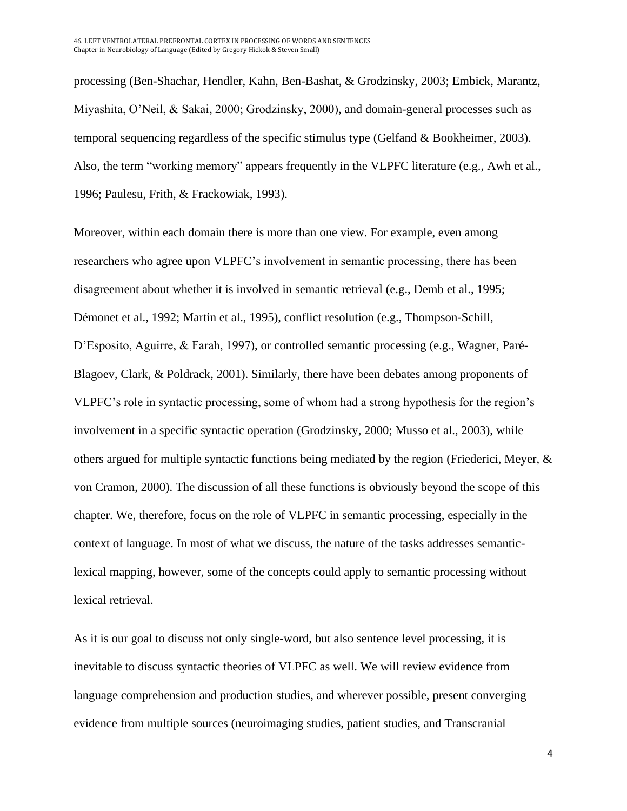processing (Ben-Shachar, Hendler, Kahn, Ben-Bashat, & Grodzinsky, 2003; Embick, Marantz, Miyashita, O'Neil, & Sakai, 2000; Grodzinsky, 2000), and domain-general processes such as temporal sequencing regardless of the specific stimulus type (Gelfand & Bookheimer, 2003). Also, the term "working memory" appears frequently in the VLPFC literature (e.g., Awh et al., 1996; Paulesu, Frith, & Frackowiak, 1993).

Moreover, within each domain there is more than one view. For example, even among researchers who agree upon VLPFC's involvement in semantic processing, there has been disagreement about whether it is involved in semantic retrieval (e.g., Demb et al., 1995; Démonet et al., 1992; Martin et al., 1995), conflict resolution (e.g., Thompson-Schill, D'Esposito, Aguirre, & Farah, 1997), or controlled semantic processing (e.g., Wagner, Paré-Blagoev, Clark, & Poldrack, 2001). Similarly, there have been debates among proponents of VLPFC's role in syntactic processing, some of whom had a strong hypothesis for the region's involvement in a specific syntactic operation (Grodzinsky, 2000; Musso et al., 2003), while others argued for multiple syntactic functions being mediated by the region (Friederici, Meyer,  $\&$ von Cramon, 2000). The discussion of all these functions is obviously beyond the scope of this chapter. We, therefore, focus on the role of VLPFC in semantic processing, especially in the context of language. In most of what we discuss, the nature of the tasks addresses semanticlexical mapping, however, some of the concepts could apply to semantic processing without lexical retrieval.

As it is our goal to discuss not only single-word, but also sentence level processing, it is inevitable to discuss syntactic theories of VLPFC as well. We will review evidence from language comprehension and production studies, and wherever possible, present converging evidence from multiple sources (neuroimaging studies, patient studies, and Transcranial

4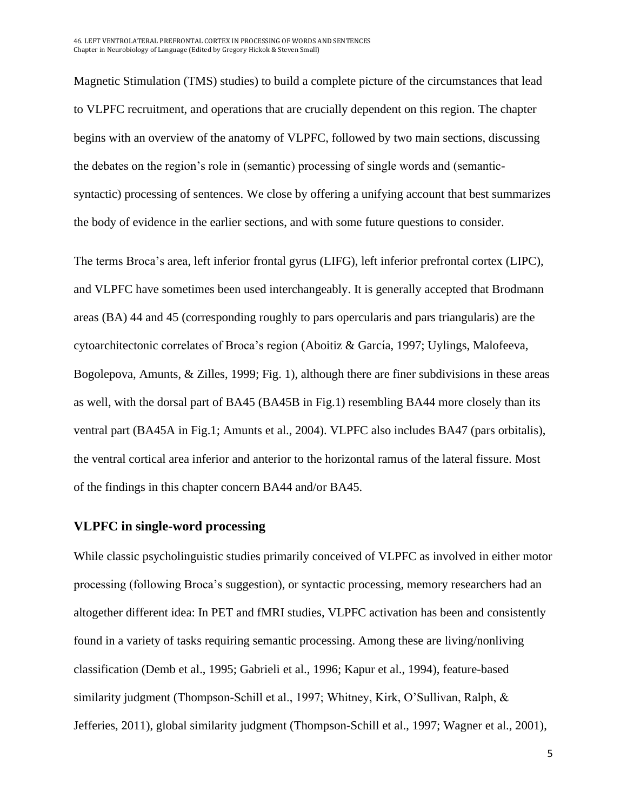Magnetic Stimulation (TMS) studies) to build a complete picture of the circumstances that lead to VLPFC recruitment, and operations that are crucially dependent on this region. The chapter begins with an overview of the anatomy of VLPFC, followed by two main sections, discussing the debates on the region's role in (semantic) processing of single words and (semanticsyntactic) processing of sentences. We close by offering a unifying account that best summarizes the body of evidence in the earlier sections, and with some future questions to consider.

The terms Broca's area, left inferior frontal gyrus (LIFG), left inferior prefrontal cortex (LIPC), and VLPFC have sometimes been used interchangeably. It is generally accepted that Brodmann areas (BA) 44 and 45 (corresponding roughly to pars opercularis and pars triangularis) are the cytoarchitectonic correlates of Broca's region (Aboitiz & Garcı́a, 1997; Uylings, Malofeeva, Bogolepova, Amunts, & Zilles, 1999; Fig. 1), although there are finer subdivisions in these areas as well, with the dorsal part of BA45 (BA45B in Fig.1) resembling BA44 more closely than its ventral part (BA45A in Fig.1; Amunts et al., 2004). VLPFC also includes BA47 (pars orbitalis), the ventral cortical area inferior and anterior to the horizontal ramus of the lateral fissure. Most of the findings in this chapter concern BA44 and/or BA45.

### **VLPFC in single-word processing**

While classic psycholinguistic studies primarily conceived of VLPFC as involved in either motor processing (following Broca's suggestion), or syntactic processing, memory researchers had an altogether different idea: In PET and fMRI studies, VLPFC activation has been and consistently found in a variety of tasks requiring semantic processing. Among these are living/nonliving classification (Demb et al., 1995; Gabrieli et al., 1996; Kapur et al., 1994), feature-based similarity judgment (Thompson-Schill et al., 1997; Whitney, Kirk, O'Sullivan, Ralph, & Jefferies, 2011), global similarity judgment (Thompson-Schill et al., 1997; Wagner et al., 2001),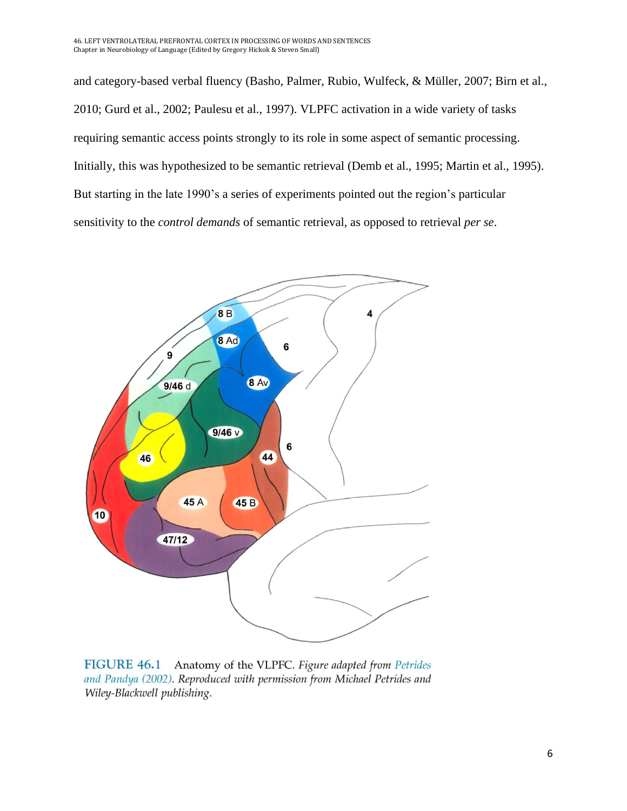and category-based verbal fluency (Basho, Palmer, Rubio, Wulfeck, & Müller, 2007; Birn et al., 2010; Gurd et al., 2002; Paulesu et al., 1997). VLPFC activation in a wide variety of tasks requiring semantic access points strongly to its role in some aspect of semantic processing. Initially, this was hypothesized to be semantic retrieval (Demb et al., 1995; Martin et al., 1995). But starting in the late 1990's a series of experiments pointed out the region's particular sensitivity to the *control demands* of semantic retrieval, as opposed to retrieval *per se*.



**FIGURE 46.1** Anatomy of the VLPFC. Figure adapted from Petrides and Pandya (2002). Reproduced with permission from Michael Petrides and Wiley-Blackwell publishing.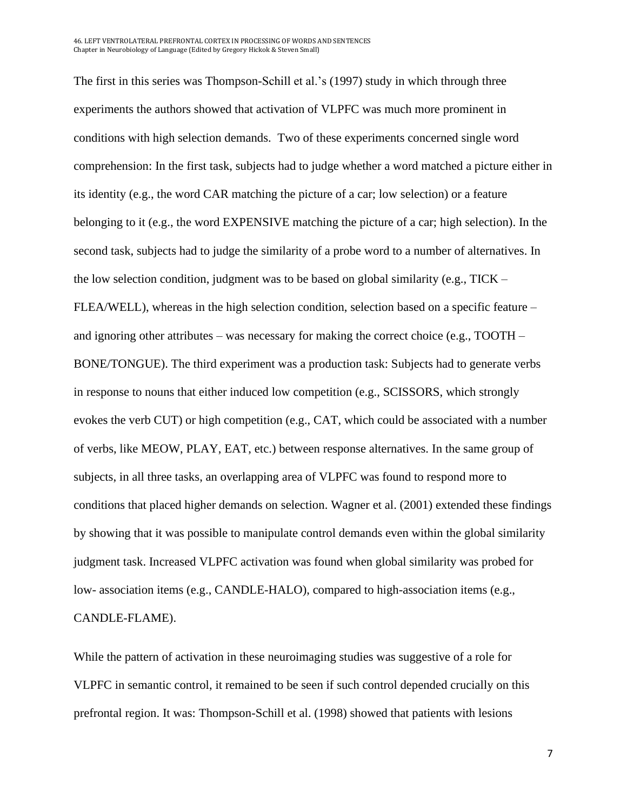The first in this series was Thompson-Schill et al.'s (1997) study in which through three experiments the authors showed that activation of VLPFC was much more prominent in conditions with high selection demands. Two of these experiments concerned single word comprehension: In the first task, subjects had to judge whether a word matched a picture either in its identity (e.g., the word CAR matching the picture of a car; low selection) or a feature belonging to it (e.g., the word EXPENSIVE matching the picture of a car; high selection). In the second task, subjects had to judge the similarity of a probe word to a number of alternatives. In the low selection condition, judgment was to be based on global similarity (e.g.,  $TICK -$ FLEA/WELL), whereas in the high selection condition, selection based on a specific feature – and ignoring other attributes – was necessary for making the correct choice (e.g., TOOTH – BONE/TONGUE). The third experiment was a production task: Subjects had to generate verbs in response to nouns that either induced low competition (e.g., SCISSORS, which strongly evokes the verb CUT) or high competition (e.g., CAT, which could be associated with a number of verbs, like MEOW, PLAY, EAT, etc.) between response alternatives. In the same group of subjects, in all three tasks, an overlapping area of VLPFC was found to respond more to conditions that placed higher demands on selection. Wagner et al. (2001) extended these findings by showing that it was possible to manipulate control demands even within the global similarity judgment task. Increased VLPFC activation was found when global similarity was probed for low- association items (e.g., CANDLE-HALO), compared to high-association items (e.g., CANDLE-FLAME).

While the pattern of activation in these neuroimaging studies was suggestive of a role for VLPFC in semantic control, it remained to be seen if such control depended crucially on this prefrontal region. It was: Thompson-Schill et al. (1998) showed that patients with lesions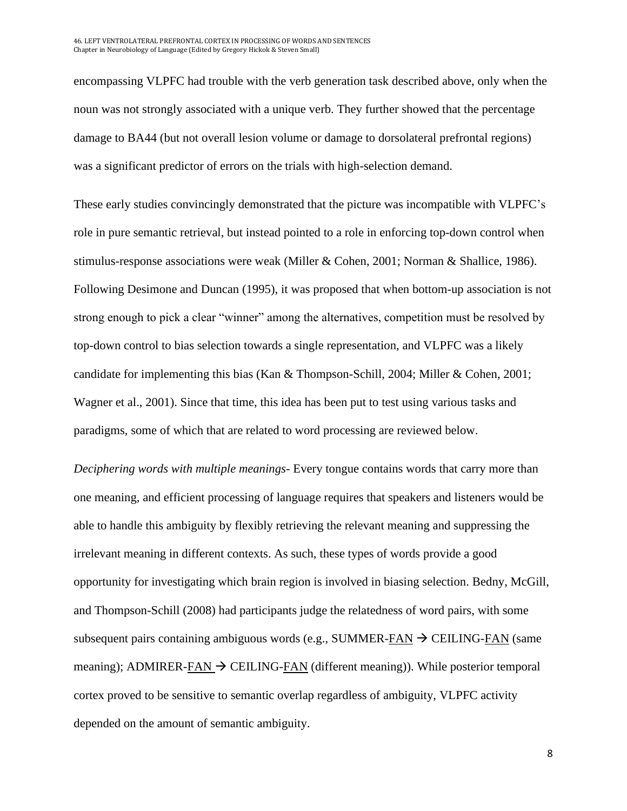encompassing VLPFC had trouble with the verb generation task described above, only when the noun was not strongly associated with a unique verb. They further showed that the percentage damage to BA44 (but not overall lesion volume or damage to dorsolateral prefrontal regions) was a significant predictor of errors on the trials with high-selection demand.

These early studies convincingly demonstrated that the picture was incompatible with VLPFC's role in pure semantic retrieval, but instead pointed to a role in enforcing top-down control when stimulus-response associations were weak (Miller & Cohen, 2001; Norman & Shallice, 1986). Following Desimone and Duncan (1995), it was proposed that when bottom-up association is not strong enough to pick a clear "winner" among the alternatives, competition must be resolved by top-down control to bias selection towards a single representation, and VLPFC was a likely candidate for implementing this bias (Kan & Thompson-Schill, 2004; Miller & Cohen, 2001; Wagner et al., 2001). Since that time, this idea has been put to test using various tasks and paradigms, some of which that are related to word processing are reviewed below.

*Deciphering words with multiple meanings-* Every tongue contains words that carry more than one meaning, and efficient processing of language requires that speakers and listeners would be able to handle this ambiguity by flexibly retrieving the relevant meaning and suppressing the irrelevant meaning in different contexts. As such, these types of words provide a good opportunity for investigating which brain region is involved in biasing selection. Bedny, McGill, and Thompson-Schill (2008) had participants judge the relatedness of word pairs, with some subsequent pairs containing ambiguous words (e.g., SUMMER-FAN  $\rightarrow$  CEILING-FAN (same meaning); ADMIRER-FAN  $\rightarrow$  CEILING-FAN (different meaning)). While posterior temporal cortex proved to be sensitive to semantic overlap regardless of ambiguity, VLPFC activity depended on the amount of semantic ambiguity.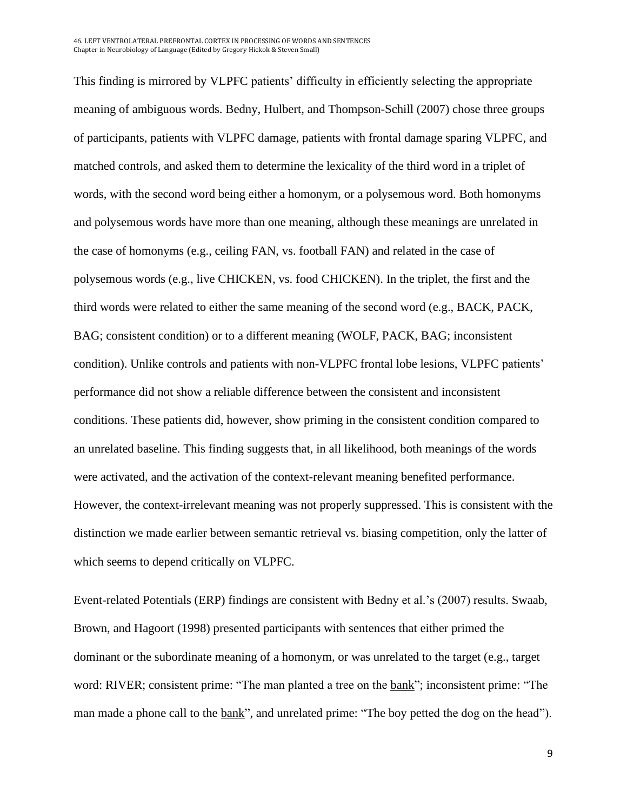This finding is mirrored by VLPFC patients' difficulty in efficiently selecting the appropriate meaning of ambiguous words. Bedny, Hulbert, and Thompson-Schill (2007) chose three groups of participants, patients with VLPFC damage, patients with frontal damage sparing VLPFC, and matched controls, and asked them to determine the lexicality of the third word in a triplet of words, with the second word being either a homonym, or a polysemous word. Both homonyms and polysemous words have more than one meaning, although these meanings are unrelated in the case of homonyms (e.g., ceiling FAN, vs. football FAN) and related in the case of polysemous words (e.g., live CHICKEN, vs. food CHICKEN). In the triplet, the first and the third words were related to either the same meaning of the second word (e.g., BACK, PACK, BAG; consistent condition) or to a different meaning (WOLF, PACK, BAG; inconsistent condition). Unlike controls and patients with non-VLPFC frontal lobe lesions, VLPFC patients' performance did not show a reliable difference between the consistent and inconsistent conditions. These patients did, however, show priming in the consistent condition compared to an unrelated baseline. This finding suggests that, in all likelihood, both meanings of the words were activated, and the activation of the context-relevant meaning benefited performance. However, the context-irrelevant meaning was not properly suppressed. This is consistent with the distinction we made earlier between semantic retrieval vs. biasing competition, only the latter of which seems to depend critically on VLPFC.

Event-related Potentials (ERP) findings are consistent with Bedny et al.'s (2007) results. Swaab, Brown, and Hagoort (1998) presented participants with sentences that either primed the dominant or the subordinate meaning of a homonym, or was unrelated to the target (e.g., target word: RIVER; consistent prime: "The man planted a tree on the bank"; inconsistent prime: "The man made a phone call to the bank", and unrelated prime: "The boy petted the dog on the head").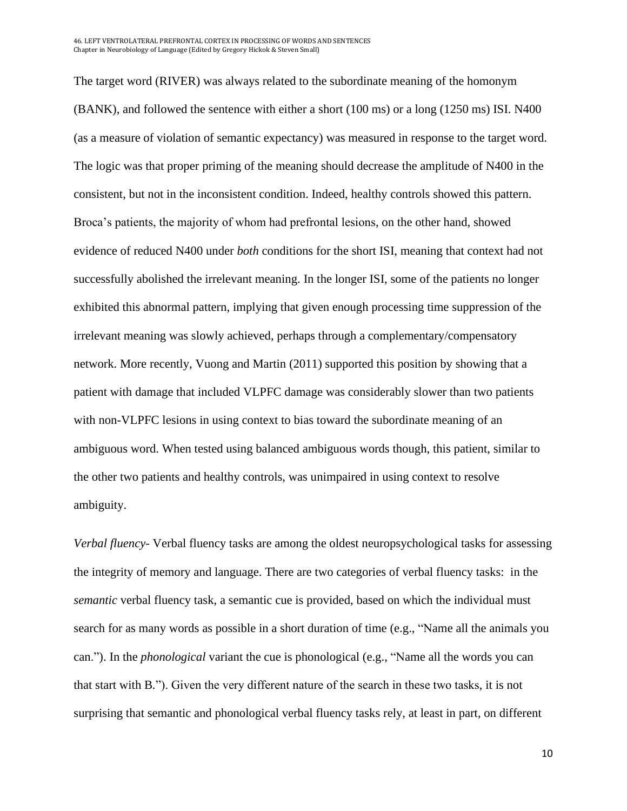The target word (RIVER) was always related to the subordinate meaning of the homonym (BANK), and followed the sentence with either a short (100 ms) or a long (1250 ms) ISI. N400 (as a measure of violation of semantic expectancy) was measured in response to the target word. The logic was that proper priming of the meaning should decrease the amplitude of N400 in the consistent, but not in the inconsistent condition. Indeed, healthy controls showed this pattern. Broca's patients, the majority of whom had prefrontal lesions, on the other hand, showed evidence of reduced N400 under *both* conditions for the short ISI, meaning that context had not successfully abolished the irrelevant meaning. In the longer ISI, some of the patients no longer exhibited this abnormal pattern, implying that given enough processing time suppression of the irrelevant meaning was slowly achieved, perhaps through a complementary/compensatory network. More recently, Vuong and Martin (2011) supported this position by showing that a patient with damage that included VLPFC damage was considerably slower than two patients with non-VLPFC lesions in using context to bias toward the subordinate meaning of an ambiguous word. When tested using balanced ambiguous words though, this patient, similar to the other two patients and healthy controls, was unimpaired in using context to resolve ambiguity.

*Verbal fluency-* Verbal fluency tasks are among the oldest neuropsychological tasks for assessing the integrity of memory and language. There are two categories of verbal fluency tasks: in the *semantic* verbal fluency task, a semantic cue is provided, based on which the individual must search for as many words as possible in a short duration of time (e.g., "Name all the animals you can."). In the *phonological* variant the cue is phonological (e.g., "Name all the words you can that start with B*.*"). Given the very different nature of the search in these two tasks, it is not surprising that semantic and phonological verbal fluency tasks rely, at least in part, on different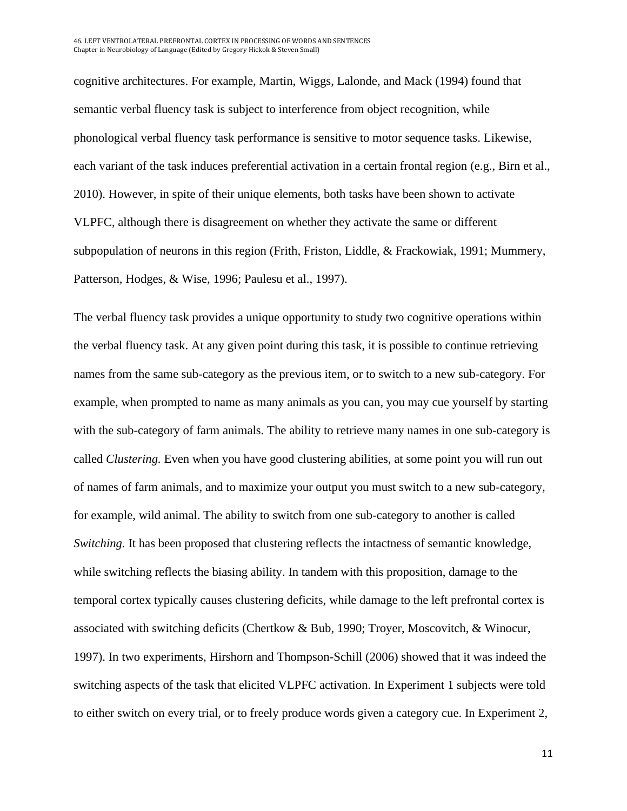cognitive architectures. For example, Martin, Wiggs, Lalonde, and Mack (1994) found that semantic verbal fluency task is subject to interference from object recognition, while phonological verbal fluency task performance is sensitive to motor sequence tasks. Likewise, each variant of the task induces preferential activation in a certain frontal region (e.g., Birn et al., 2010). However, in spite of their unique elements, both tasks have been shown to activate VLPFC, although there is disagreement on whether they activate the same or different subpopulation of neurons in this region (Frith, Friston, Liddle, & Frackowiak, 1991; Mummery, Patterson, Hodges, & Wise, 1996; Paulesu et al., 1997).

The verbal fluency task provides a unique opportunity to study two cognitive operations within the verbal fluency task. At any given point during this task, it is possible to continue retrieving names from the same sub-category as the previous item, or to switch to a new sub-category. For example, when prompted to name as many animals as you can, you may cue yourself by starting with the sub-category of farm animals. The ability to retrieve many names in one sub-category is called *Clustering.* Even when you have good clustering abilities, at some point you will run out of names of farm animals, and to maximize your output you must switch to a new sub-category, for example, wild animal. The ability to switch from one sub-category to another is called *Switching.* It has been proposed that clustering reflects the intactness of semantic knowledge, while switching reflects the biasing ability. In tandem with this proposition, damage to the temporal cortex typically causes clustering deficits, while damage to the left prefrontal cortex is associated with switching deficits (Chertkow & Bub, 1990; Troyer, Moscovitch, & Winocur, 1997). In two experiments, Hirshorn and Thompson-Schill (2006) showed that it was indeed the switching aspects of the task that elicited VLPFC activation. In Experiment 1 subjects were told to either switch on every trial, or to freely produce words given a category cue. In Experiment 2,

11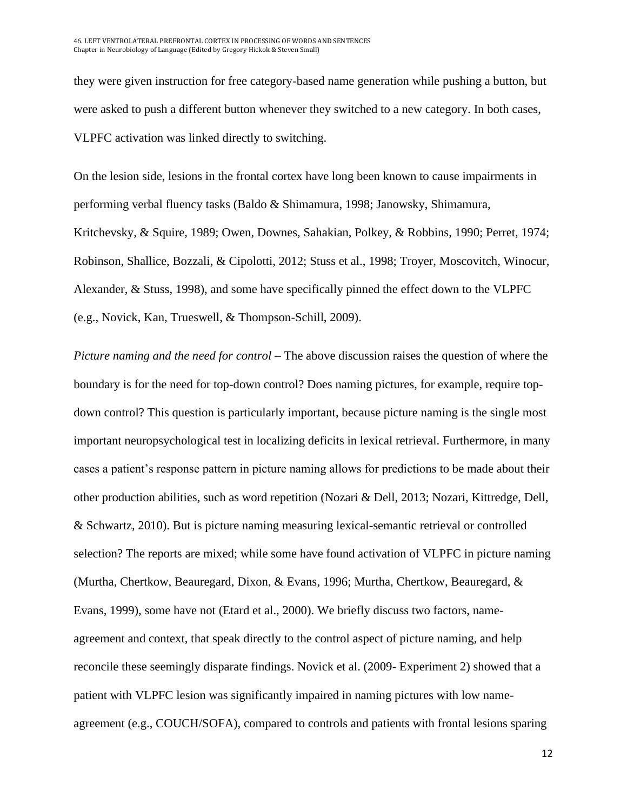they were given instruction for free category-based name generation while pushing a button, but were asked to push a different button whenever they switched to a new category. In both cases, VLPFC activation was linked directly to switching.

On the lesion side, lesions in the frontal cortex have long been known to cause impairments in performing verbal fluency tasks (Baldo & Shimamura, 1998; Janowsky, Shimamura, Kritchevsky, & Squire, 1989; Owen, Downes, Sahakian, Polkey, & Robbins, 1990; Perret, 1974; Robinson, Shallice, Bozzali, & Cipolotti, 2012; Stuss et al., 1998; Troyer, Moscovitch, Winocur, Alexander, & Stuss, 1998), and some have specifically pinned the effect down to the VLPFC (e.g., Novick, Kan, Trueswell, & Thompson-Schill, 2009).

*Picture naming and the need for control –* The above discussion raises the question of where the boundary is for the need for top-down control? Does naming pictures, for example, require topdown control? This question is particularly important, because picture naming is the single most important neuropsychological test in localizing deficits in lexical retrieval. Furthermore, in many cases a patient's response pattern in picture naming allows for predictions to be made about their other production abilities, such as word repetition (Nozari & Dell, 2013; Nozari, Kittredge, Dell, & Schwartz, 2010). But is picture naming measuring lexical-semantic retrieval or controlled selection? The reports are mixed; while some have found activation of VLPFC in picture naming (Murtha, Chertkow, Beauregard, Dixon, & Evans, 1996; Murtha, Chertkow, Beauregard, & Evans, 1999), some have not (Etard et al., 2000). We briefly discuss two factors, nameagreement and context, that speak directly to the control aspect of picture naming, and help reconcile these seemingly disparate findings. Novick et al. (2009- Experiment 2) showed that a patient with VLPFC lesion was significantly impaired in naming pictures with low nameagreement (e.g., COUCH/SOFA), compared to controls and patients with frontal lesions sparing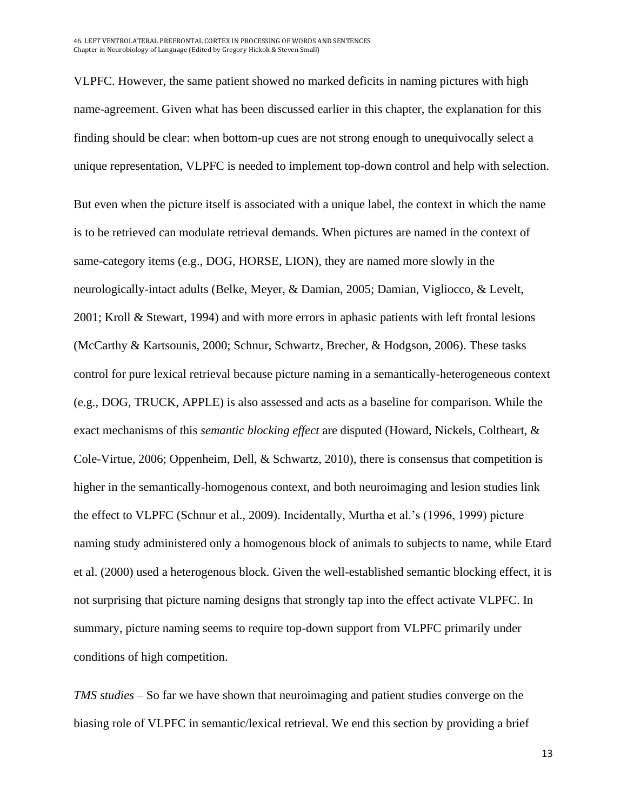VLPFC. However, the same patient showed no marked deficits in naming pictures with high name-agreement. Given what has been discussed earlier in this chapter, the explanation for this finding should be clear: when bottom-up cues are not strong enough to unequivocally select a unique representation, VLPFC is needed to implement top-down control and help with selection.

But even when the picture itself is associated with a unique label, the context in which the name is to be retrieved can modulate retrieval demands. When pictures are named in the context of same-category items (e.g., DOG, HORSE, LION), they are named more slowly in the neurologically-intact adults (Belke, Meyer, & Damian, 2005; Damian, Vigliocco, & Levelt, 2001; Kroll & Stewart, 1994) and with more errors in aphasic patients with left frontal lesions (McCarthy & Kartsounis, 2000; Schnur, Schwartz, Brecher, & Hodgson, 2006). These tasks control for pure lexical retrieval because picture naming in a semantically-heterogeneous context (e.g., DOG, TRUCK, APPLE) is also assessed and acts as a baseline for comparison. While the exact mechanisms of this *semantic blocking effect* are disputed (Howard, Nickels, Coltheart, & Cole-Virtue, 2006; Oppenheim, Dell, & Schwartz, 2010), there is consensus that competition is higher in the semantically-homogenous context, and both neuroimaging and lesion studies link the effect to VLPFC (Schnur et al., 2009). Incidentally, Murtha et al.'s (1996, 1999) picture naming study administered only a homogenous block of animals to subjects to name, while Etard et al. (2000) used a heterogenous block. Given the well-established semantic blocking effect, it is not surprising that picture naming designs that strongly tap into the effect activate VLPFC. In summary, picture naming seems to require top-down support from VLPFC primarily under conditions of high competition.

*TMS studies –* So far we have shown that neuroimaging and patient studies converge on the biasing role of VLPFC in semantic/lexical retrieval. We end this section by providing a brief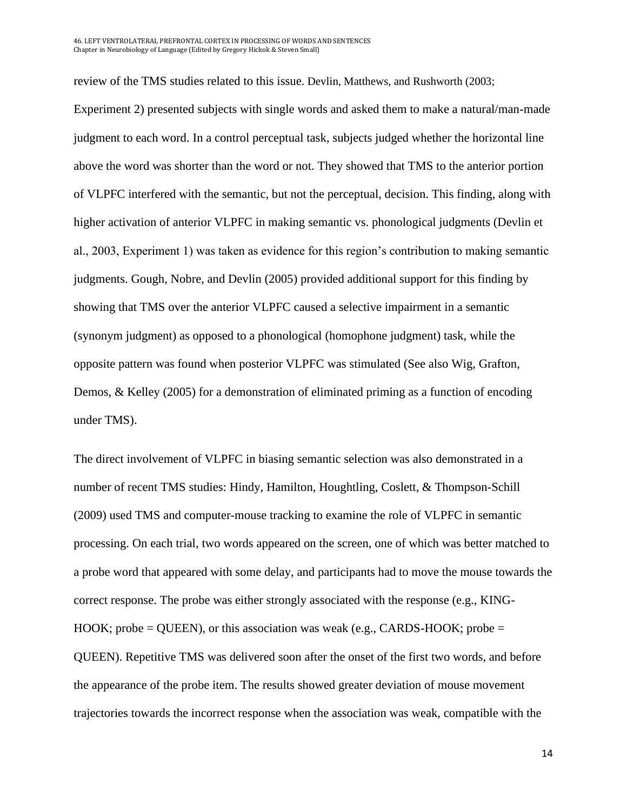review of the TMS studies related to this issue. Devlin, Matthews, and Rushworth (2003;

Experiment 2) presented subjects with single words and asked them to make a natural/man-made judgment to each word. In a control perceptual task, subjects judged whether the horizontal line above the word was shorter than the word or not. They showed that TMS to the anterior portion of VLPFC interfered with the semantic, but not the perceptual, decision. This finding, along with higher activation of anterior VLPFC in making semantic vs. phonological judgments (Devlin et al., 2003, Experiment 1) was taken as evidence for this region's contribution to making semantic judgments. Gough, Nobre, and Devlin (2005) provided additional support for this finding by showing that TMS over the anterior VLPFC caused a selective impairment in a semantic (synonym judgment) as opposed to a phonological (homophone judgment) task, while the opposite pattern was found when posterior VLPFC was stimulated (See also Wig, Grafton, Demos, & Kelley (2005) for a demonstration of eliminated priming as a function of encoding under TMS).

The direct involvement of VLPFC in biasing semantic selection was also demonstrated in a number of recent TMS studies: Hindy, Hamilton, Houghtling, Coslett, & Thompson-Schill (2009) used TMS and computer-mouse tracking to examine the role of VLPFC in semantic processing. On each trial, two words appeared on the screen, one of which was better matched to a probe word that appeared with some delay, and participants had to move the mouse towards the correct response. The probe was either strongly associated with the response (e.g., KING-HOOK; probe  $=$  QUEEN), or this association was weak (e.g., CARDS-HOOK; probe  $=$ QUEEN). Repetitive TMS was delivered soon after the onset of the first two words, and before the appearance of the probe item. The results showed greater deviation of mouse movement trajectories towards the incorrect response when the association was weak, compatible with the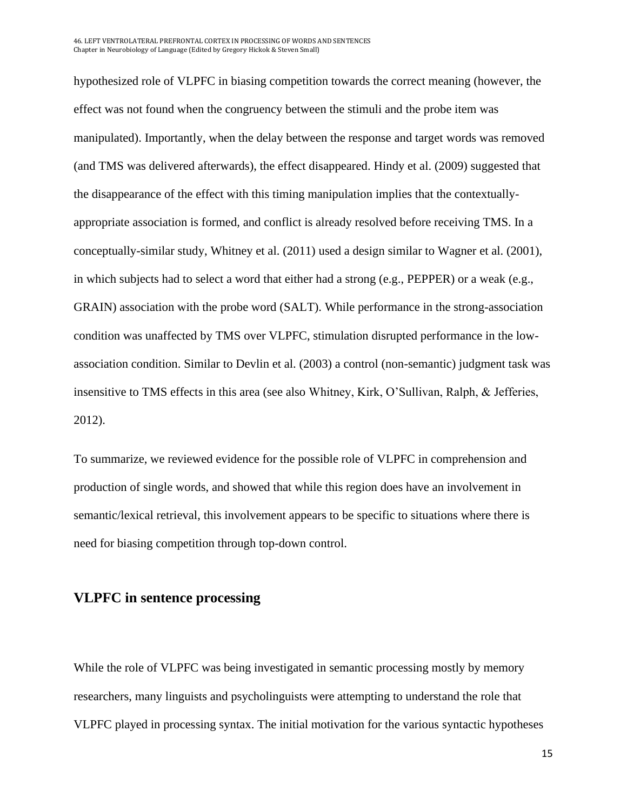hypothesized role of VLPFC in biasing competition towards the correct meaning (however, the effect was not found when the congruency between the stimuli and the probe item was manipulated). Importantly, when the delay between the response and target words was removed (and TMS was delivered afterwards), the effect disappeared. Hindy et al. (2009) suggested that the disappearance of the effect with this timing manipulation implies that the contextuallyappropriate association is formed, and conflict is already resolved before receiving TMS. In a conceptually-similar study, Whitney et al. (2011) used a design similar to Wagner et al. (2001), in which subjects had to select a word that either had a strong (e.g., PEPPER) or a weak (e.g., GRAIN) association with the probe word (SALT). While performance in the strong-association condition was unaffected by TMS over VLPFC, stimulation disrupted performance in the lowassociation condition. Similar to Devlin et al. (2003) a control (non-semantic) judgment task was insensitive to TMS effects in this area (see also Whitney, Kirk, O'Sullivan, Ralph, & Jefferies, 2012).

To summarize, we reviewed evidence for the possible role of VLPFC in comprehension and production of single words, and showed that while this region does have an involvement in semantic/lexical retrieval, this involvement appears to be specific to situations where there is need for biasing competition through top-down control.

### **VLPFC in sentence processing**

While the role of VLPFC was being investigated in semantic processing mostly by memory researchers, many linguists and psycholinguists were attempting to understand the role that VLPFC played in processing syntax. The initial motivation for the various syntactic hypotheses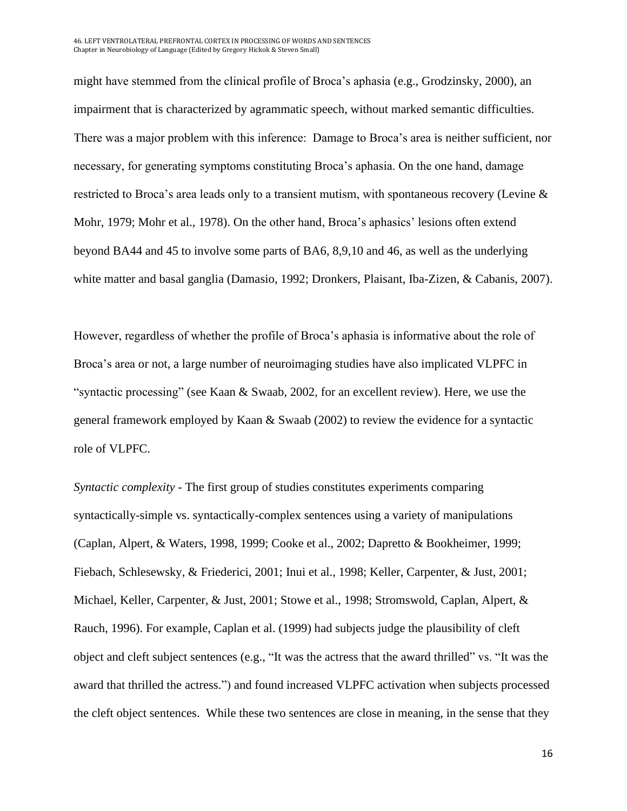might have stemmed from the clinical profile of Broca's aphasia (e.g., Grodzinsky, 2000), an impairment that is characterized by agrammatic speech, without marked semantic difficulties. There was a major problem with this inference: Damage to Broca's area is neither sufficient, nor necessary, for generating symptoms constituting Broca's aphasia. On the one hand, damage restricted to Broca's area leads only to a transient mutism, with spontaneous recovery (Levine & Mohr, 1979; Mohr et al., 1978). On the other hand, Broca's aphasics' lesions often extend beyond BA44 and 45 to involve some parts of BA6, 8,9,10 and 46, as well as the underlying white matter and basal ganglia (Damasio, 1992; Dronkers, Plaisant, Iba-Zizen, & Cabanis, 2007).

However, regardless of whether the profile of Broca's aphasia is informative about the role of Broca's area or not, a large number of neuroimaging studies have also implicated VLPFC in "syntactic processing" (see Kaan & Swaab, 2002, for an excellent review). Here, we use the general framework employed by Kaan & Swaab (2002) to review the evidence for a syntactic role of VLPFC.

*Syntactic complexity -* The first group of studies constitutes experiments comparing syntactically-simple vs. syntactically-complex sentences using a variety of manipulations (Caplan, Alpert, & Waters, 1998, 1999; Cooke et al., 2002; Dapretto & Bookheimer, 1999; Fiebach, Schlesewsky, & Friederici, 2001; Inui et al., 1998; Keller, Carpenter, & Just, 2001; Michael, Keller, Carpenter, & Just, 2001; Stowe et al., 1998; Stromswold, Caplan, Alpert, & Rauch, 1996). For example, Caplan et al. (1999) had subjects judge the plausibility of cleft object and cleft subject sentences (e.g., "It was the actress that the award thrilled" vs. "It was the award that thrilled the actress.") and found increased VLPFC activation when subjects processed the cleft object sentences. While these two sentences are close in meaning, in the sense that they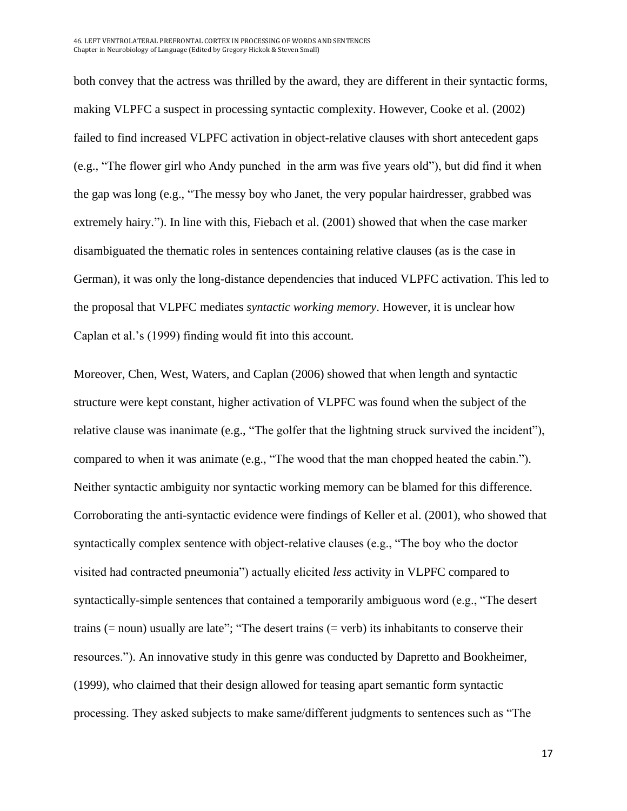both convey that the actress was thrilled by the award, they are different in their syntactic forms, making VLPFC a suspect in processing syntactic complexity. However, Cooke et al. (2002) failed to find increased VLPFC activation in object-relative clauses with short antecedent gaps (e.g., "The flower girl who Andy punched in the arm was five years old"), but did find it when the gap was long (e.g., "The messy boy who Janet, the very popular hairdresser, grabbed was extremely hairy."). In line with this, Fiebach et al. (2001) showed that when the case marker disambiguated the thematic roles in sentences containing relative clauses (as is the case in German), it was only the long-distance dependencies that induced VLPFC activation. This led to the proposal that VLPFC mediates *syntactic working memory*. However, it is unclear how Caplan et al.'s (1999) finding would fit into this account.

Moreover, Chen, West, Waters, and Caplan (2006) showed that when length and syntactic structure were kept constant, higher activation of VLPFC was found when the subject of the relative clause was inanimate (e.g., "The golfer that the lightning struck survived the incident"), compared to when it was animate (e.g., "The wood that the man chopped heated the cabin."). Neither syntactic ambiguity nor syntactic working memory can be blamed for this difference. Corroborating the anti-syntactic evidence were findings of Keller et al. (2001), who showed that syntactically complex sentence with object-relative clauses (e.g., "The boy who the doctor visited had contracted pneumonia") actually elicited *less* activity in VLPFC compared to syntactically-simple sentences that contained a temporarily ambiguous word (e.g., "The desert trains  $(=$  noun) usually are late"; "The desert trains  $(=$  verb) its inhabitants to conserve their resources."). An innovative study in this genre was conducted by Dapretto and Bookheimer, (1999), who claimed that their design allowed for teasing apart semantic form syntactic processing. They asked subjects to make same/different judgments to sentences such as "The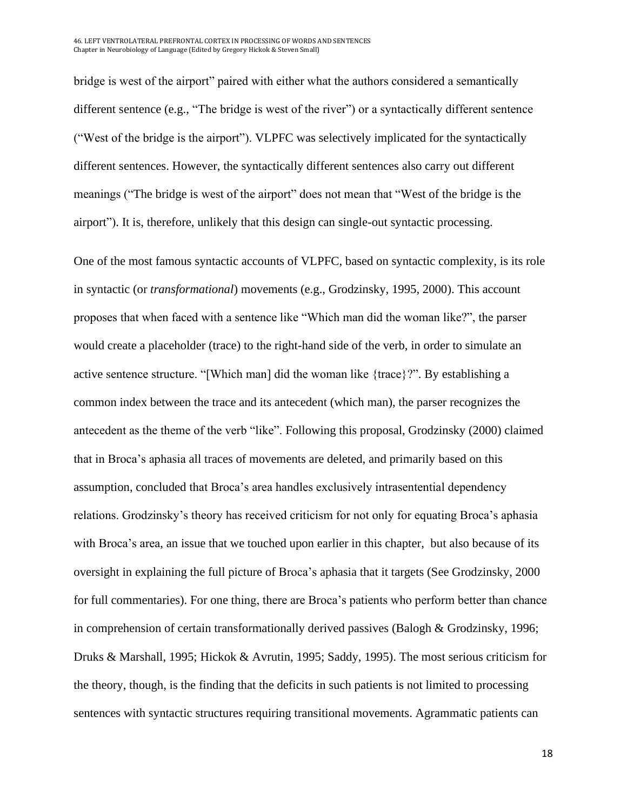bridge is west of the airport" paired with either what the authors considered a semantically different sentence (e.g., "The bridge is west of the river") or a syntactically different sentence ("West of the bridge is the airport"). VLPFC was selectively implicated for the syntactically different sentences. However, the syntactically different sentences also carry out different meanings ("The bridge is west of the airport" does not mean that "West of the bridge is the airport"). It is, therefore, unlikely that this design can single-out syntactic processing.

One of the most famous syntactic accounts of VLPFC, based on syntactic complexity, is its role in syntactic (or *transformational*) movements (e.g., Grodzinsky, 1995, 2000). This account proposes that when faced with a sentence like "Which man did the woman like?", the parser would create a placeholder (trace) to the right-hand side of the verb, in order to simulate an active sentence structure. "[Which man] did the woman like {trace}?". By establishing a common index between the trace and its antecedent (which man), the parser recognizes the antecedent as the theme of the verb "like". Following this proposal, Grodzinsky (2000) claimed that in Broca's aphasia all traces of movements are deleted, and primarily based on this assumption, concluded that Broca's area handles exclusively intrasentential dependency relations. Grodzinsky's theory has received criticism for not only for equating Broca's aphasia with Broca's area, an issue that we touched upon earlier in this chapter, but also because of its oversight in explaining the full picture of Broca's aphasia that it targets (See Grodzinsky, 2000 for full commentaries). For one thing, there are Broca's patients who perform better than chance in comprehension of certain transformationally derived passives (Balogh & Grodzinsky, 1996; Druks & Marshall, 1995; Hickok & Avrutin, 1995; Saddy, 1995). The most serious criticism for the theory, though, is the finding that the deficits in such patients is not limited to processing sentences with syntactic structures requiring transitional movements. Agrammatic patients can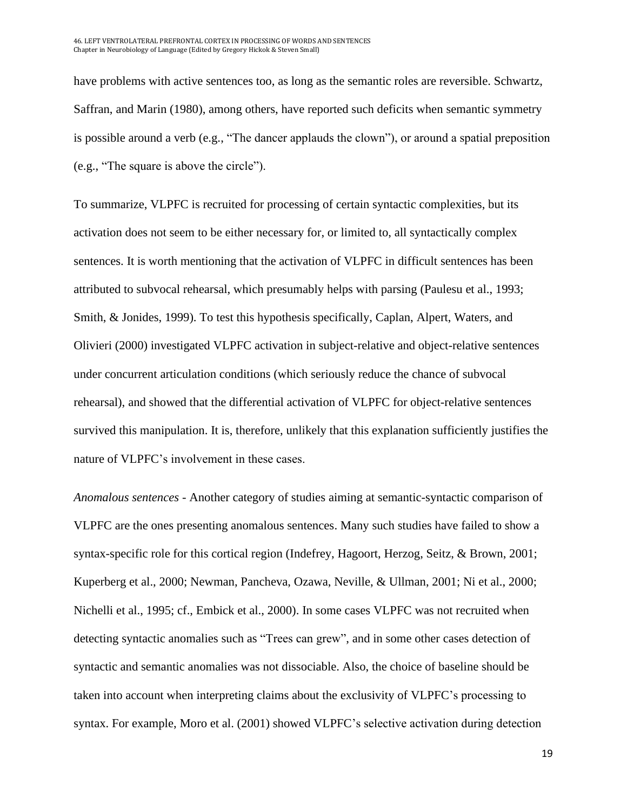have problems with active sentences too, as long as the semantic roles are reversible. Schwartz, Saffran, and Marin (1980), among others, have reported such deficits when semantic symmetry is possible around a verb (e.g., "The dancer applauds the clown"), or around a spatial preposition (e.g., "The square is above the circle").

To summarize, VLPFC is recruited for processing of certain syntactic complexities, but its activation does not seem to be either necessary for, or limited to, all syntactically complex sentences. It is worth mentioning that the activation of VLPFC in difficult sentences has been attributed to subvocal rehearsal, which presumably helps with parsing (Paulesu et al., 1993; Smith, & Jonides, 1999). To test this hypothesis specifically, Caplan, Alpert, Waters, and Olivieri (2000) investigated VLPFC activation in subject-relative and object-relative sentences under concurrent articulation conditions (which seriously reduce the chance of subvocal rehearsal), and showed that the differential activation of VLPFC for object-relative sentences survived this manipulation. It is, therefore, unlikely that this explanation sufficiently justifies the nature of VLPFC's involvement in these cases.

*Anomalous sentences -* Another category of studies aiming at semantic-syntactic comparison of VLPFC are the ones presenting anomalous sentences. Many such studies have failed to show a syntax-specific role for this cortical region (Indefrey, Hagoort, Herzog, Seitz, & Brown, 2001; Kuperberg et al., 2000; Newman, Pancheva, Ozawa, Neville, & Ullman, 2001; Ni et al., 2000; Nichelli et al., 1995; cf., Embick et al., 2000). In some cases VLPFC was not recruited when detecting syntactic anomalies such as "Trees can grew", and in some other cases detection of syntactic and semantic anomalies was not dissociable. Also, the choice of baseline should be taken into account when interpreting claims about the exclusivity of VLPFC's processing to syntax. For example, Moro et al. (2001) showed VLPFC's selective activation during detection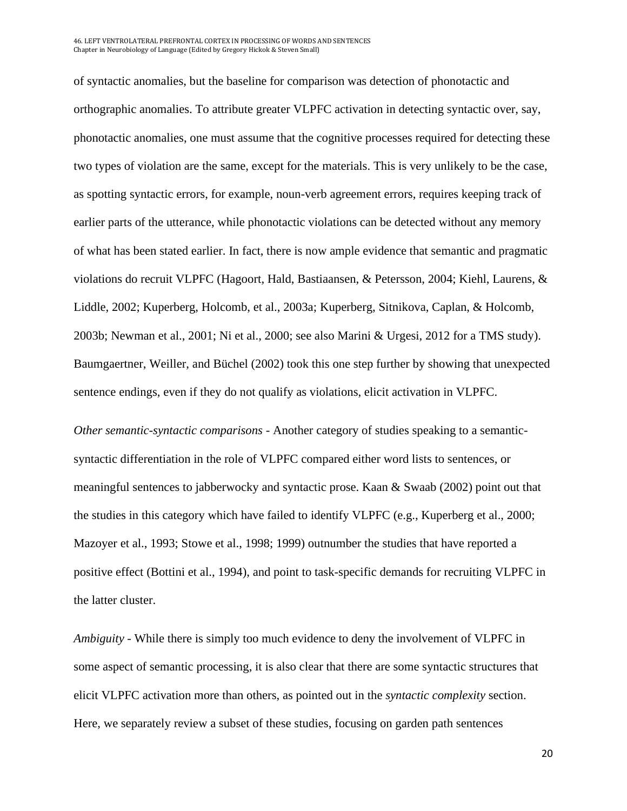of syntactic anomalies, but the baseline for comparison was detection of phonotactic and orthographic anomalies. To attribute greater VLPFC activation in detecting syntactic over, say, phonotactic anomalies, one must assume that the cognitive processes required for detecting these two types of violation are the same, except for the materials. This is very unlikely to be the case, as spotting syntactic errors, for example, noun-verb agreement errors, requires keeping track of earlier parts of the utterance, while phonotactic violations can be detected without any memory of what has been stated earlier. In fact, there is now ample evidence that semantic and pragmatic violations do recruit VLPFC (Hagoort, Hald, Bastiaansen, & Petersson, 2004; Kiehl, Laurens, & Liddle, 2002; Kuperberg, Holcomb, et al., 2003a; Kuperberg, Sitnikova, Caplan, & Holcomb, 2003b; Newman et al., 2001; Ni et al., 2000; see also Marini & Urgesi, 2012 for a TMS study). Baumgaertner, Weiller, and Büchel (2002) took this one step further by showing that unexpected sentence endings, even if they do not qualify as violations, elicit activation in VLPFC.

*Other semantic-syntactic comparisons -* Another category of studies speaking to a semanticsyntactic differentiation in the role of VLPFC compared either word lists to sentences, or meaningful sentences to jabberwocky and syntactic prose. Kaan & Swaab (2002) point out that the studies in this category which have failed to identify VLPFC (e.g., Kuperberg et al., 2000; Mazoyer et al., 1993; Stowe et al., 1998; 1999) outnumber the studies that have reported a positive effect (Bottini et al., 1994), and point to task-specific demands for recruiting VLPFC in the latter cluster.

*Ambiguity -* While there is simply too much evidence to deny the involvement of VLPFC in some aspect of semantic processing, it is also clear that there are some syntactic structures that elicit VLPFC activation more than others, as pointed out in the *syntactic complexity* section. Here, we separately review a subset of these studies, focusing on garden path sentences

20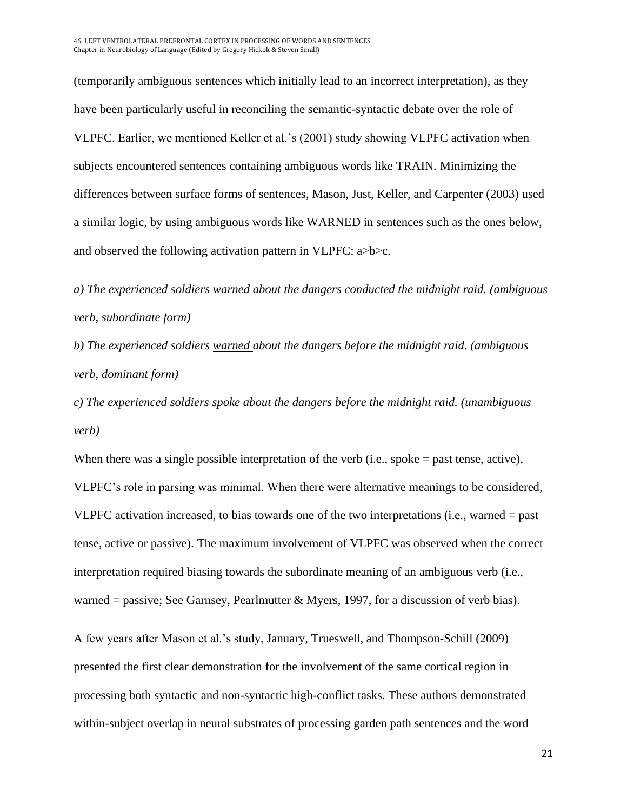(temporarily ambiguous sentences which initially lead to an incorrect interpretation), as they have been particularly useful in reconciling the semantic-syntactic debate over the role of VLPFC. Earlier, we mentioned Keller et al.'s (2001) study showing VLPFC activation when subjects encountered sentences containing ambiguous words like TRAIN. Minimizing the differences between surface forms of sentences, Mason, Just, Keller, and Carpenter (2003) used a similar logic, by using ambiguous words like WARNED in sentences such as the ones below, and observed the following activation pattern in VLPFC: a>b>c.

*a) The experienced soldiers warned about the dangers conducted the midnight raid. (ambiguous verb, subordinate form)*

*b) The experienced soldiers warned about the dangers before the midnight raid. (ambiguous verb, dominant form)*

*c) The experienced soldiers spoke about the dangers before the midnight raid. (unambiguous verb)*

When there was a single possible interpretation of the verb (i.e., spoke = past tense, active), VLPFC's role in parsing was minimal. When there were alternative meanings to be considered, VLPFC activation increased, to bias towards one of the two interpretations (i.e., warned = past tense, active or passive). The maximum involvement of VLPFC was observed when the correct interpretation required biasing towards the subordinate meaning of an ambiguous verb (i.e., warned = passive; See Garnsey, Pearlmutter & Myers, 1997, for a discussion of verb bias).

A few years after Mason et al.'s study, January, Trueswell, and Thompson-Schill (2009) presented the first clear demonstration for the involvement of the same cortical region in processing both syntactic and non-syntactic high-conflict tasks. These authors demonstrated within-subject overlap in neural substrates of processing garden path sentences and the word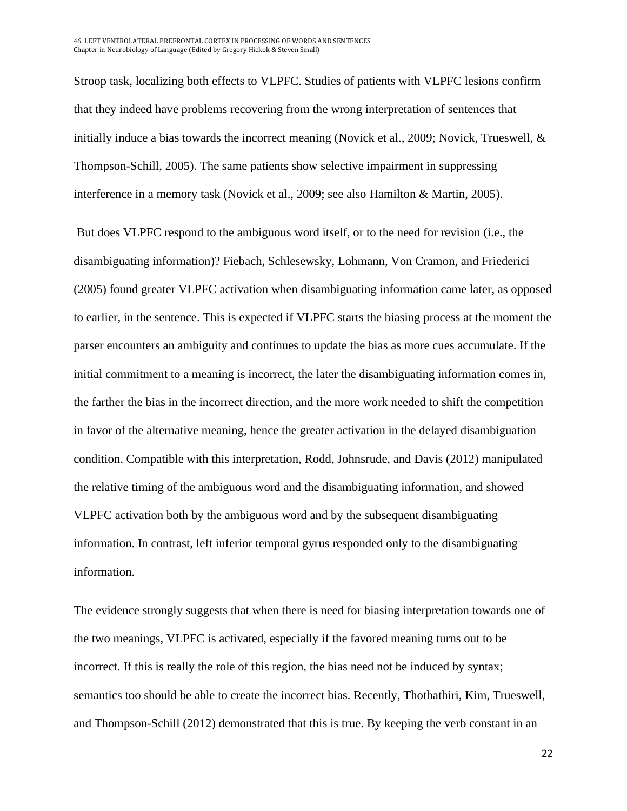Stroop task, localizing both effects to VLPFC. Studies of patients with VLPFC lesions confirm that they indeed have problems recovering from the wrong interpretation of sentences that initially induce a bias towards the incorrect meaning (Novick et al., 2009; Novick, Trueswell, & Thompson-Schill, 2005). The same patients show selective impairment in suppressing interference in a memory task (Novick et al., 2009; see also Hamilton & Martin, 2005).

But does VLPFC respond to the ambiguous word itself, or to the need for revision (i.e., the disambiguating information)? Fiebach, Schlesewsky, Lohmann, Von Cramon, and Friederici (2005) found greater VLPFC activation when disambiguating information came later, as opposed to earlier, in the sentence. This is expected if VLPFC starts the biasing process at the moment the parser encounters an ambiguity and continues to update the bias as more cues accumulate. If the initial commitment to a meaning is incorrect, the later the disambiguating information comes in, the farther the bias in the incorrect direction, and the more work needed to shift the competition in favor of the alternative meaning, hence the greater activation in the delayed disambiguation condition. Compatible with this interpretation, Rodd, Johnsrude, and Davis (2012) manipulated the relative timing of the ambiguous word and the disambiguating information, and showed VLPFC activation both by the ambiguous word and by the subsequent disambiguating information. In contrast, left inferior temporal gyrus responded only to the disambiguating information.

The evidence strongly suggests that when there is need for biasing interpretation towards one of the two meanings, VLPFC is activated, especially if the favored meaning turns out to be incorrect. If this is really the role of this region, the bias need not be induced by syntax; semantics too should be able to create the incorrect bias. Recently, Thothathiri, Kim, Trueswell, and Thompson-Schill (2012) demonstrated that this is true. By keeping the verb constant in an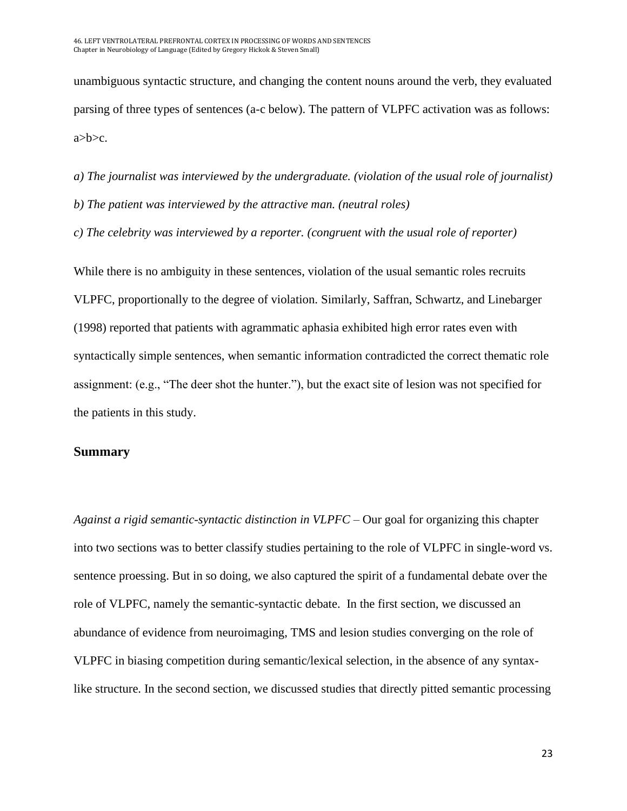unambiguous syntactic structure, and changing the content nouns around the verb, they evaluated parsing of three types of sentences (a-c below). The pattern of VLPFC activation was as follows:  $a>b>c.$ 

*a) The journalist was interviewed by the undergraduate. (violation of the usual role of journalist) b) The patient was interviewed by the attractive man. (neutral roles)*

*c) The celebrity was interviewed by a reporter. (congruent with the usual role of reporter)*

While there is no ambiguity in these sentences, violation of the usual semantic roles recruits VLPFC, proportionally to the degree of violation. Similarly, Saffran, Schwartz, and Linebarger (1998) reported that patients with agrammatic aphasia exhibited high error rates even with syntactically simple sentences, when semantic information contradicted the correct thematic role assignment: (e.g., "The deer shot the hunter."), but the exact site of lesion was not specified for the patients in this study.

#### **Summary**

*Against a rigid semantic-syntactic distinction in VLPFC –* Our goal for organizing this chapter into two sections was to better classify studies pertaining to the role of VLPFC in single-word vs. sentence proessing. But in so doing, we also captured the spirit of a fundamental debate over the role of VLPFC, namely the semantic-syntactic debate. In the first section, we discussed an abundance of evidence from neuroimaging, TMS and lesion studies converging on the role of VLPFC in biasing competition during semantic/lexical selection, in the absence of any syntaxlike structure. In the second section, we discussed studies that directly pitted semantic processing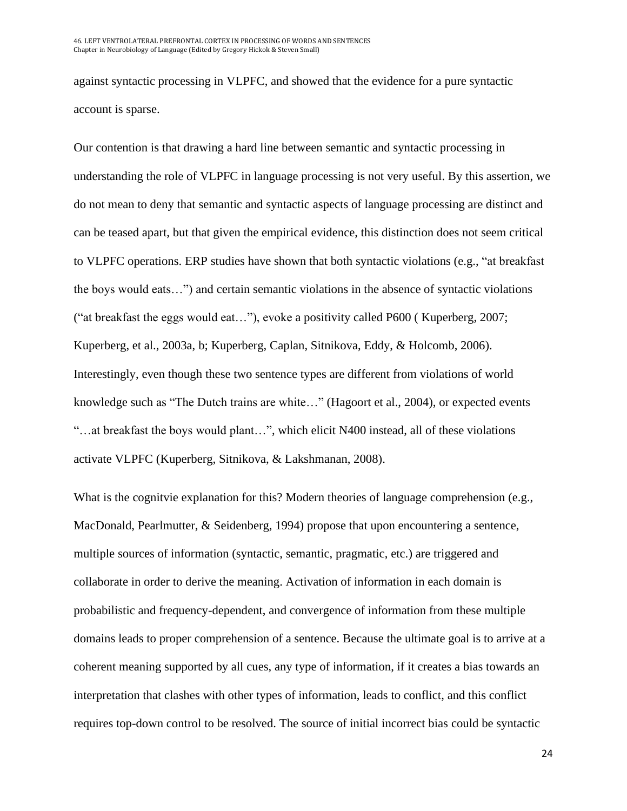against syntactic processing in VLPFC, and showed that the evidence for a pure syntactic account is sparse.

Our contention is that drawing a hard line between semantic and syntactic processing in understanding the role of VLPFC in language processing is not very useful. By this assertion, we do not mean to deny that semantic and syntactic aspects of language processing are distinct and can be teased apart, but that given the empirical evidence, this distinction does not seem critical to VLPFC operations. ERP studies have shown that both syntactic violations (e.g., "at breakfast the boys would eats…") and certain semantic violations in the absence of syntactic violations ("at breakfast the eggs would eat…"), evoke a positivity called P600 ( Kuperberg, 2007; Kuperberg, et al., 2003a, b; Kuperberg, Caplan, Sitnikova, Eddy, & Holcomb, 2006). Interestingly, even though these two sentence types are different from violations of world knowledge such as "The Dutch trains are white…" (Hagoort et al., 2004), or expected events "…at breakfast the boys would plant…", which elicit N400 instead, all of these violations activate VLPFC (Kuperberg, Sitnikova, & Lakshmanan, 2008).

What is the cognitvie explanation for this? Modern theories of language comprehension (e.g., MacDonald, Pearlmutter, & Seidenberg, 1994) propose that upon encountering a sentence, multiple sources of information (syntactic, semantic, pragmatic, etc.) are triggered and collaborate in order to derive the meaning. Activation of information in each domain is probabilistic and frequency-dependent, and convergence of information from these multiple domains leads to proper comprehension of a sentence. Because the ultimate goal is to arrive at a coherent meaning supported by all cues, any type of information, if it creates a bias towards an interpretation that clashes with other types of information, leads to conflict, and this conflict requires top-down control to be resolved. The source of initial incorrect bias could be syntactic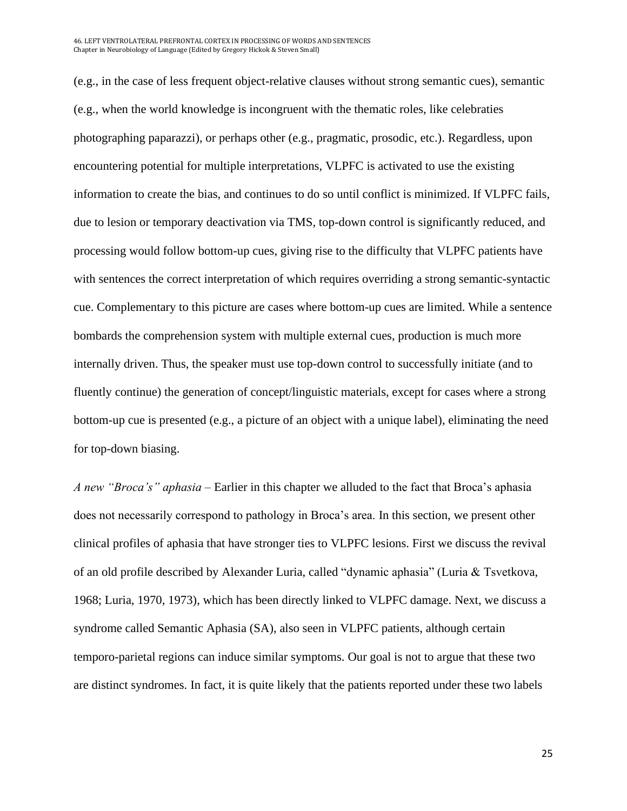(e.g., in the case of less frequent object-relative clauses without strong semantic cues), semantic (e.g., when the world knowledge is incongruent with the thematic roles, like celebraties photographing paparazzi), or perhaps other (e.g., pragmatic, prosodic, etc.). Regardless, upon encountering potential for multiple interpretations, VLPFC is activated to use the existing information to create the bias, and continues to do so until conflict is minimized. If VLPFC fails, due to lesion or temporary deactivation via TMS, top-down control is significantly reduced, and processing would follow bottom-up cues, giving rise to the difficulty that VLPFC patients have with sentences the correct interpretation of which requires overriding a strong semantic-syntactic cue. Complementary to this picture are cases where bottom-up cues are limited. While a sentence bombards the comprehension system with multiple external cues, production is much more internally driven. Thus, the speaker must use top-down control to successfully initiate (and to fluently continue) the generation of concept/linguistic materials, except for cases where a strong bottom-up cue is presented (e.g., a picture of an object with a unique label), eliminating the need for top-down biasing.

*A new "Broca's" aphasia –* Earlier in this chapter we alluded to the fact that Broca's aphasia does not necessarily correspond to pathology in Broca's area. In this section, we present other clinical profiles of aphasia that have stronger ties to VLPFC lesions. First we discuss the revival of an old profile described by Alexander Luria, called "dynamic aphasia" (Luria & Tsvetkova, 1968; Luria, 1970, 1973), which has been directly linked to VLPFC damage. Next, we discuss a syndrome called Semantic Aphasia (SA), also seen in VLPFC patients, although certain temporo-parietal regions can induce similar symptoms. Our goal is not to argue that these two are distinct syndromes. In fact, it is quite likely that the patients reported under these two labels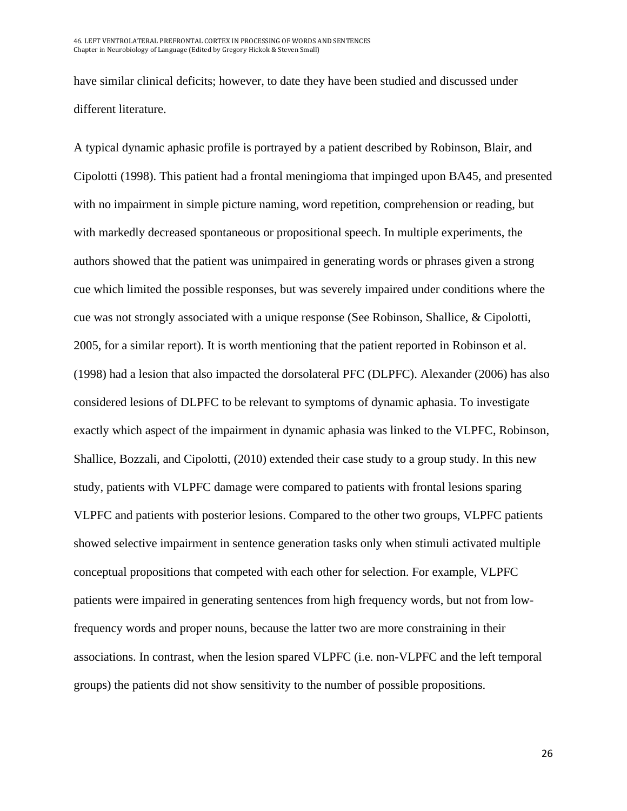have similar clinical deficits; however, to date they have been studied and discussed under different literature.

A typical dynamic aphasic profile is portrayed by a patient described by Robinson, Blair, and Cipolotti (1998). This patient had a frontal meningioma that impinged upon BA45, and presented with no impairment in simple picture naming, word repetition, comprehension or reading, but with markedly decreased spontaneous or propositional speech. In multiple experiments, the authors showed that the patient was unimpaired in generating words or phrases given a strong cue which limited the possible responses, but was severely impaired under conditions where the cue was not strongly associated with a unique response (See Robinson, Shallice, & Cipolotti, 2005, for a similar report). It is worth mentioning that the patient reported in Robinson et al. (1998) had a lesion that also impacted the dorsolateral PFC (DLPFC). Alexander (2006) has also considered lesions of DLPFC to be relevant to symptoms of dynamic aphasia. To investigate exactly which aspect of the impairment in dynamic aphasia was linked to the VLPFC, Robinson, Shallice, Bozzali, and Cipolotti, (2010) extended their case study to a group study. In this new study, patients with VLPFC damage were compared to patients with frontal lesions sparing VLPFC and patients with posterior lesions. Compared to the other two groups, VLPFC patients showed selective impairment in sentence generation tasks only when stimuli activated multiple conceptual propositions that competed with each other for selection. For example, VLPFC patients were impaired in generating sentences from high frequency words, but not from lowfrequency words and proper nouns, because the latter two are more constraining in their associations. In contrast, when the lesion spared VLPFC (i.e. non-VLPFC and the left temporal groups) the patients did not show sensitivity to the number of possible propositions.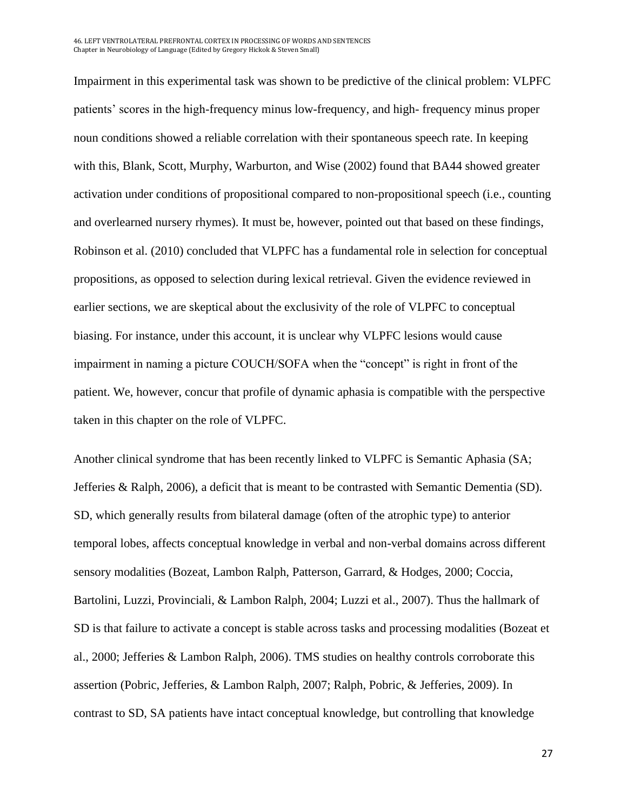Impairment in this experimental task was shown to be predictive of the clinical problem: VLPFC patients' scores in the high-frequency minus low-frequency, and high- frequency minus proper noun conditions showed a reliable correlation with their spontaneous speech rate. In keeping with this, Blank, Scott, Murphy, Warburton, and Wise (2002) found that BA44 showed greater activation under conditions of propositional compared to non-propositional speech (i.e., counting and overlearned nursery rhymes). It must be, however, pointed out that based on these findings, Robinson et al. (2010) concluded that VLPFC has a fundamental role in selection for conceptual propositions, as opposed to selection during lexical retrieval. Given the evidence reviewed in earlier sections, we are skeptical about the exclusivity of the role of VLPFC to conceptual biasing. For instance, under this account, it is unclear why VLPFC lesions would cause impairment in naming a picture COUCH/SOFA when the "concept" is right in front of the patient. We, however, concur that profile of dynamic aphasia is compatible with the perspective taken in this chapter on the role of VLPFC.

Another clinical syndrome that has been recently linked to VLPFC is Semantic Aphasia (SA; Jefferies & Ralph, 2006), a deficit that is meant to be contrasted with Semantic Dementia (SD). SD, which generally results from bilateral damage (often of the atrophic type) to anterior temporal lobes, affects conceptual knowledge in verbal and non-verbal domains across different sensory modalities (Bozeat, Lambon Ralph, Patterson, Garrard, & Hodges, 2000; Coccia, Bartolini, Luzzi, Provinciali, & Lambon Ralph, 2004; Luzzi et al., 2007). Thus the hallmark of SD is that failure to activate a concept is stable across tasks and processing modalities (Bozeat et al., 2000; Jefferies & Lambon Ralph, 2006). TMS studies on healthy controls corroborate this assertion (Pobric, Jefferies, & Lambon Ralph, 2007; Ralph, Pobric, & Jefferies, 2009). In contrast to SD, SA patients have intact conceptual knowledge, but controlling that knowledge

27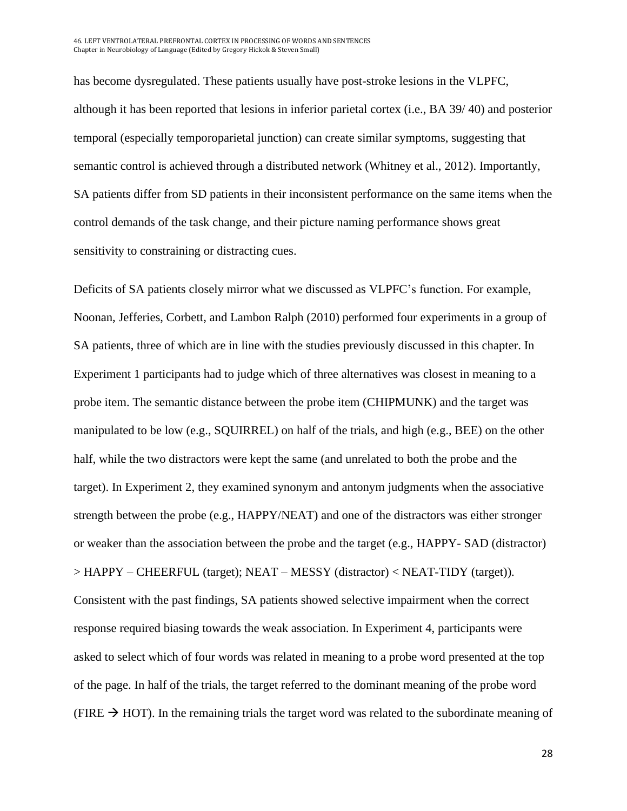has become dysregulated. These patients usually have post-stroke lesions in the VLPFC, although it has been reported that lesions in inferior parietal cortex (i.e., BA 39/ 40) and posterior temporal (especially temporoparietal junction) can create similar symptoms, suggesting that semantic control is achieved through a distributed network (Whitney et al., 2012). Importantly, SA patients differ from SD patients in their inconsistent performance on the same items when the control demands of the task change, and their picture naming performance shows great sensitivity to constraining or distracting cues.

Deficits of SA patients closely mirror what we discussed as VLPFC's function. For example, Noonan, Jefferies, Corbett, and Lambon Ralph (2010) performed four experiments in a group of SA patients, three of which are in line with the studies previously discussed in this chapter. In Experiment 1 participants had to judge which of three alternatives was closest in meaning to a probe item. The semantic distance between the probe item (CHIPMUNK) and the target was manipulated to be low (e.g., SQUIRREL) on half of the trials, and high (e.g., BEE) on the other half, while the two distractors were kept the same (and unrelated to both the probe and the target). In Experiment 2, they examined synonym and antonym judgments when the associative strength between the probe (e.g., HAPPY/NEAT) and one of the distractors was either stronger or weaker than the association between the probe and the target (e.g., HAPPY- SAD (distractor) > HAPPY – CHEERFUL (target); NEAT – MESSY (distractor) < NEAT-TIDY (target)). Consistent with the past findings, SA patients showed selective impairment when the correct response required biasing towards the weak association. In Experiment 4, participants were asked to select which of four words was related in meaning to a probe word presented at the top of the page. In half of the trials, the target referred to the dominant meaning of the probe word (FIRE  $\rightarrow$  HOT). In the remaining trials the target word was related to the subordinate meaning of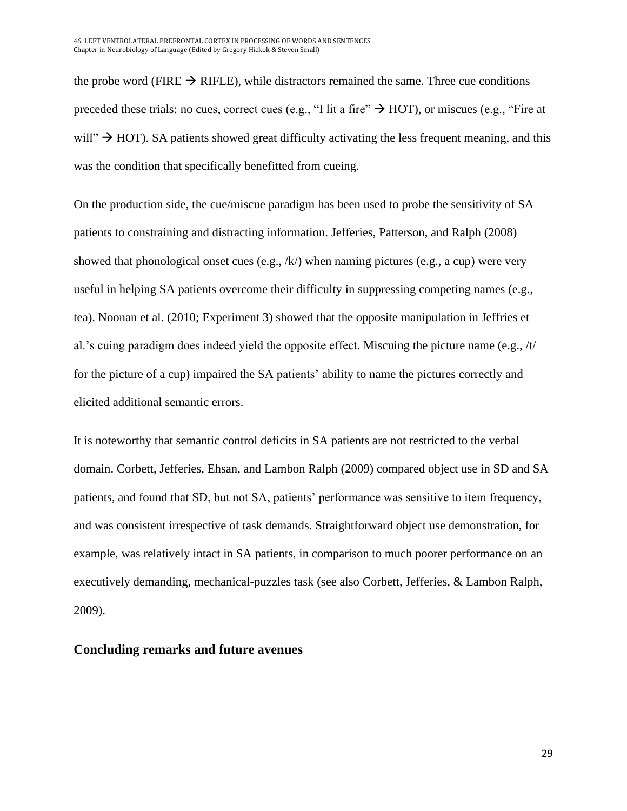the probe word (FIRE  $\rightarrow$  RIFLE), while distractors remained the same. Three cue conditions preceded these trials: no cues, correct cues (e.g., "I lit a fire"  $\rightarrow$  HOT), or miscues (e.g., "Fire at will"  $\rightarrow$  HOT). SA patients showed great difficulty activating the less frequent meaning, and this was the condition that specifically benefitted from cueing.

On the production side, the cue/miscue paradigm has been used to probe the sensitivity of SA patients to constraining and distracting information. Jefferies, Patterson, and Ralph (2008) showed that phonological onset cues (e.g.,  $/k$ ) when naming pictures (e.g., a cup) were very useful in helping SA patients overcome their difficulty in suppressing competing names (e.g., tea). Noonan et al. (2010; Experiment 3) showed that the opposite manipulation in Jeffries et al.'s cuing paradigm does indeed yield the opposite effect. Miscuing the picture name (e.g.,  $/t/$ for the picture of a cup) impaired the SA patients' ability to name the pictures correctly and elicited additional semantic errors.

It is noteworthy that semantic control deficits in SA patients are not restricted to the verbal domain. Corbett, Jefferies, Ehsan, and Lambon Ralph (2009) compared object use in SD and SA patients, and found that SD, but not SA, patients' performance was sensitive to item frequency, and was consistent irrespective of task demands. Straightforward object use demonstration, for example, was relatively intact in SA patients, in comparison to much poorer performance on an executively demanding, mechanical-puzzles task (see also Corbett, Jefferies, & Lambon Ralph, 2009).

### **Concluding remarks and future avenues**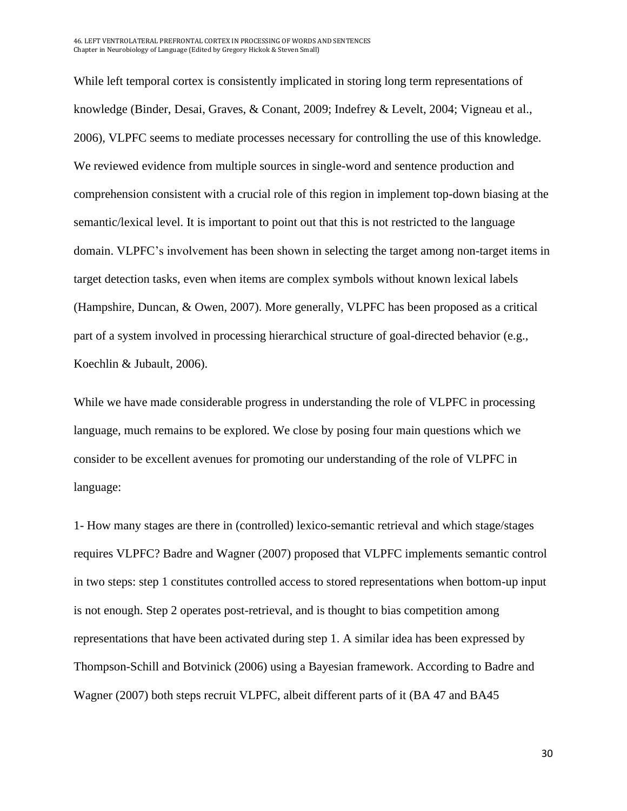While left temporal cortex is consistently implicated in storing long term representations of knowledge (Binder, Desai, Graves, & Conant, 2009; Indefrey & Levelt, 2004; Vigneau et al., 2006), VLPFC seems to mediate processes necessary for controlling the use of this knowledge. We reviewed evidence from multiple sources in single-word and sentence production and comprehension consistent with a crucial role of this region in implement top-down biasing at the semantic/lexical level. It is important to point out that this is not restricted to the language domain. VLPFC's involvement has been shown in selecting the target among non-target items in target detection tasks, even when items are complex symbols without known lexical labels (Hampshire, Duncan, & Owen, 2007). More generally, VLPFC has been proposed as a critical part of a system involved in processing hierarchical structure of goal-directed behavior (e.g., Koechlin & Jubault, 2006).

While we have made considerable progress in understanding the role of VLPFC in processing language, much remains to be explored. We close by posing four main questions which we consider to be excellent avenues for promoting our understanding of the role of VLPFC in language:

1- How many stages are there in (controlled) lexico-semantic retrieval and which stage/stages requires VLPFC? Badre and Wagner (2007) proposed that VLPFC implements semantic control in two steps: step 1 constitutes controlled access to stored representations when bottom-up input is not enough. Step 2 operates post-retrieval, and is thought to bias competition among representations that have been activated during step 1. A similar idea has been expressed by Thompson-Schill and Botvinick (2006) using a Bayesian framework. According to Badre and Wagner (2007) both steps recruit VLPFC, albeit different parts of it (BA 47 and BA45

30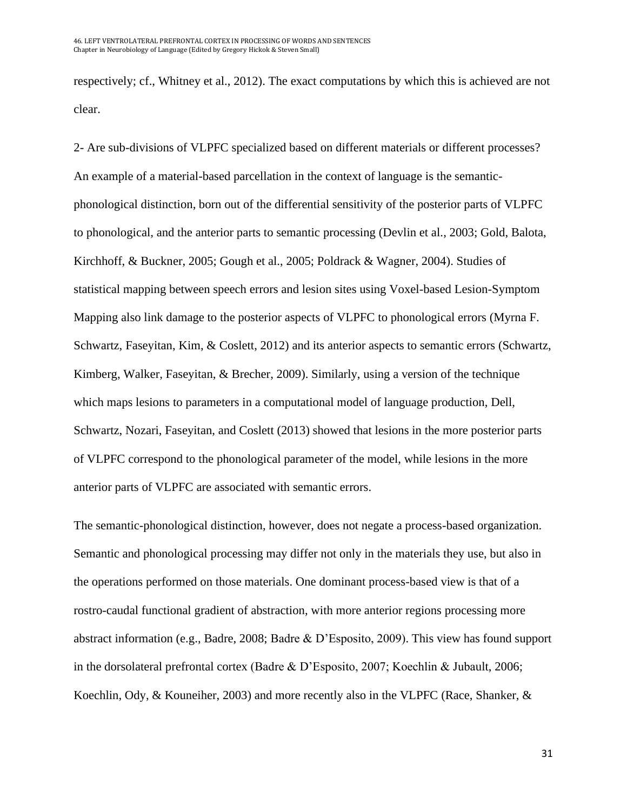respectively; cf., Whitney et al., 2012). The exact computations by which this is achieved are not clear.

2- Are sub-divisions of VLPFC specialized based on different materials or different processes? An example of a material-based parcellation in the context of language is the semanticphonological distinction, born out of the differential sensitivity of the posterior parts of VLPFC to phonological, and the anterior parts to semantic processing (Devlin et al., 2003; Gold, Balota, Kirchhoff, & Buckner, 2005; Gough et al., 2005; Poldrack & Wagner, 2004). Studies of statistical mapping between speech errors and lesion sites using Voxel-based Lesion-Symptom Mapping also link damage to the posterior aspects of VLPFC to phonological errors (Myrna F. Schwartz, Faseyitan, Kim, & Coslett, 2012) and its anterior aspects to semantic errors (Schwartz, Kimberg, Walker, Faseyitan, & Brecher, 2009). Similarly, using a version of the technique which maps lesions to parameters in a computational model of language production, Dell, Schwartz, Nozari, Faseyitan, and Coslett (2013) showed that lesions in the more posterior parts of VLPFC correspond to the phonological parameter of the model, while lesions in the more anterior parts of VLPFC are associated with semantic errors.

The semantic-phonological distinction, however, does not negate a process-based organization. Semantic and phonological processing may differ not only in the materials they use, but also in the operations performed on those materials. One dominant process-based view is that of a rostro-caudal functional gradient of abstraction, with more anterior regions processing more abstract information (e.g., Badre, 2008; Badre & D'Esposito, 2009). This view has found support in the dorsolateral prefrontal cortex (Badre & D'Esposito, 2007; Koechlin & Jubault, 2006; Koechlin, Ody, & Kouneiher, 2003) and more recently also in the VLPFC (Race, Shanker, &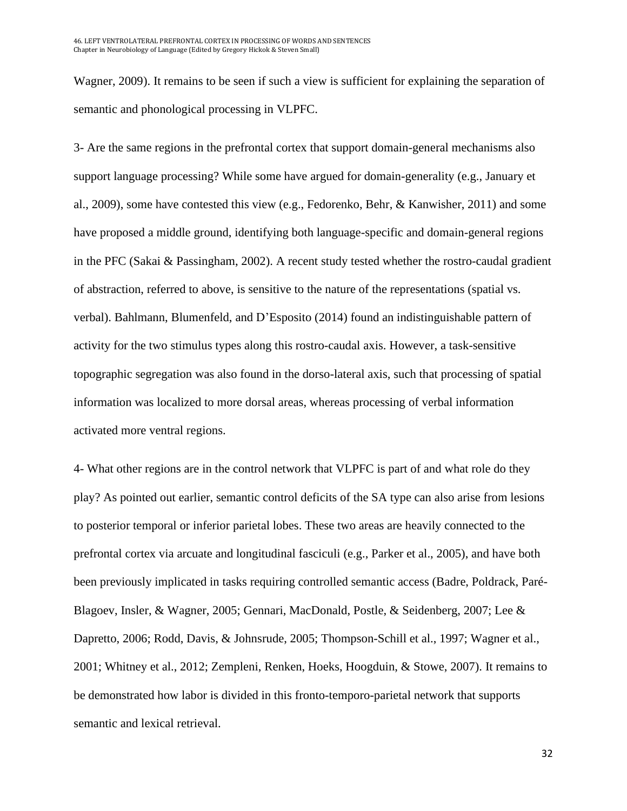Wagner, 2009). It remains to be seen if such a view is sufficient for explaining the separation of semantic and phonological processing in VLPFC.

3- Are the same regions in the prefrontal cortex that support domain-general mechanisms also support language processing? While some have argued for domain-generality (e.g., January et al., 2009), some have contested this view (e.g., Fedorenko, Behr, & Kanwisher, 2011) and some have proposed a middle ground, identifying both language-specific and domain-general regions in the PFC (Sakai & Passingham, 2002). A recent study tested whether the rostro-caudal gradient of abstraction, referred to above, is sensitive to the nature of the representations (spatial vs. verbal). Bahlmann, Blumenfeld, and D'Esposito (2014) found an indistinguishable pattern of activity for the two stimulus types along this rostro-caudal axis. However, a task-sensitive topographic segregation was also found in the dorso-lateral axis, such that processing of spatial information was localized to more dorsal areas, whereas processing of verbal information activated more ventral regions.

4- What other regions are in the control network that VLPFC is part of and what role do they play? As pointed out earlier, semantic control deficits of the SA type can also arise from lesions to posterior temporal or inferior parietal lobes. These two areas are heavily connected to the prefrontal cortex via arcuate and longitudinal fasciculi (e.g., Parker et al., 2005), and have both been previously implicated in tasks requiring controlled semantic access (Badre, Poldrack, Paré-Blagoev, Insler, & Wagner, 2005; Gennari, MacDonald, Postle, & Seidenberg, 2007; Lee & Dapretto, 2006; Rodd, Davis, & Johnsrude, 2005; Thompson-Schill et al., 1997; Wagner et al., 2001; Whitney et al., 2012; Zempleni, Renken, Hoeks, Hoogduin, & Stowe, 2007). It remains to be demonstrated how labor is divided in this fronto-temporo-parietal network that supports semantic and lexical retrieval.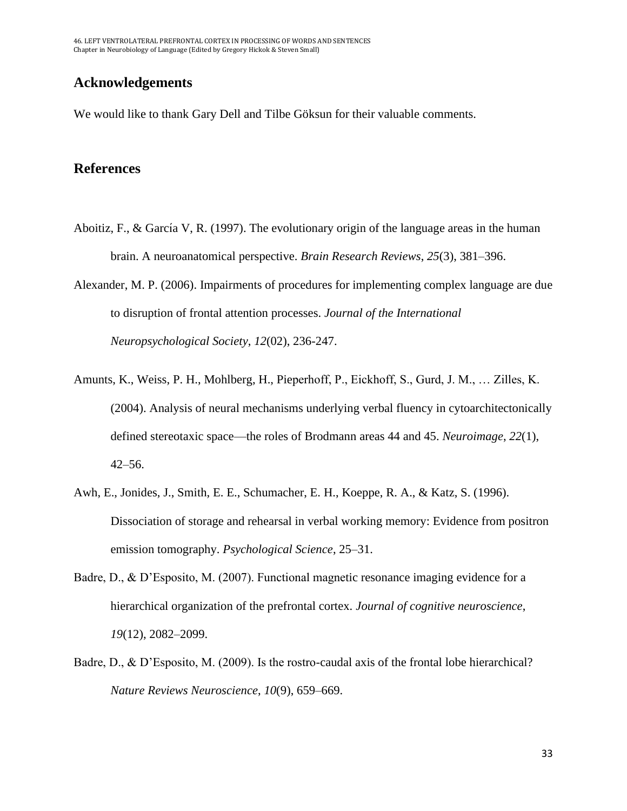# **Acknowledgements**

We would like to thank Gary Dell and Tilbe Göksun for their valuable comments.

## **References**

- Aboitiz, F., & García V, R. (1997). The evolutionary origin of the language areas in the human brain. A neuroanatomical perspective. *Brain Research Reviews*, *25*(3), 381–396.
- Alexander, M. P. (2006). Impairments of procedures for implementing complex language are due to disruption of frontal attention processes. *Journal of the International Neuropsychological Society*, *12*(02), 236-247.
- Amunts, K., Weiss, P. H., Mohlberg, H., Pieperhoff, P., Eickhoff, S., Gurd, J. M., … Zilles, K. (2004). Analysis of neural mechanisms underlying verbal fluency in cytoarchitectonically defined stereotaxic space—the roles of Brodmann areas 44 and 45. *Neuroimage*, *22*(1), 42–56.
- Awh, E., Jonides, J., Smith, E. E., Schumacher, E. H., Koeppe, R. A., & Katz, S. (1996). Dissociation of storage and rehearsal in verbal working memory: Evidence from positron emission tomography. *Psychological Science*, 25–31.
- Badre, D., & D'Esposito, M. (2007). Functional magnetic resonance imaging evidence for a hierarchical organization of the prefrontal cortex. *Journal of cognitive neuroscience*, *19*(12), 2082–2099.
- Badre, D., & D'Esposito, M. (2009). Is the rostro-caudal axis of the frontal lobe hierarchical? *Nature Reviews Neuroscience*, *10*(9), 659–669.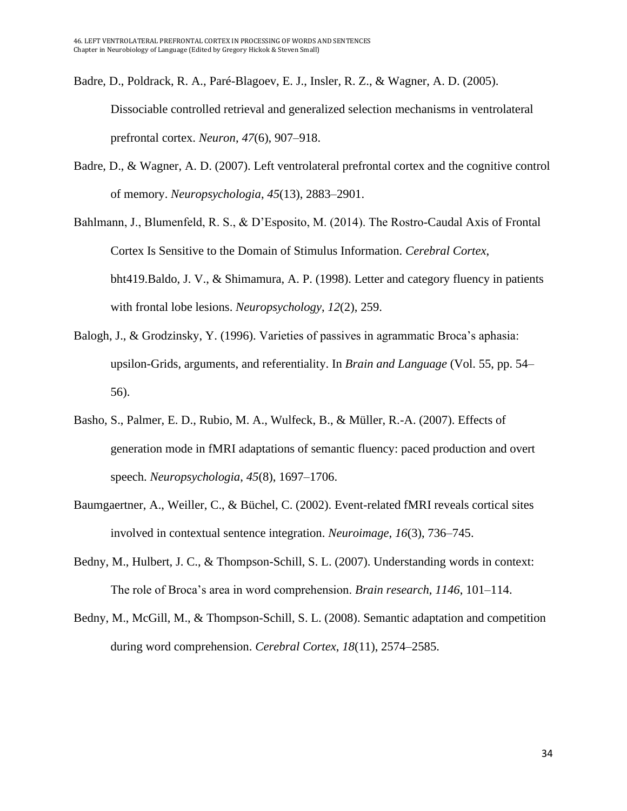- Badre, D., Poldrack, R. A., Paré-Blagoev, E. J., Insler, R. Z., & Wagner, A. D. (2005). Dissociable controlled retrieval and generalized selection mechanisms in ventrolateral prefrontal cortex. *Neuron*, *47*(6), 907–918.
- Badre, D., & Wagner, A. D. (2007). Left ventrolateral prefrontal cortex and the cognitive control of memory. *Neuropsychologia*, *45*(13), 2883–2901.
- Bahlmann, J., Blumenfeld, R. S., & D'Esposito, M. (2014). The Rostro-Caudal Axis of Frontal Cortex Is Sensitive to the Domain of Stimulus Information. *Cerebral Cortex*, bht419.Baldo, J. V., & Shimamura, A. P. (1998). Letter and category fluency in patients with frontal lobe lesions. *Neuropsychology*, *12*(2), 259.
- Balogh, J., & Grodzinsky, Y. (1996). Varieties of passives in agrammatic Broca's aphasia: upsilon-Grids, arguments, and referentiality. In *Brain and Language* (Vol. 55, pp. 54– 56).
- Basho, S., Palmer, E. D., Rubio, M. A., Wulfeck, B., & Müller, R.-A. (2007). Effects of generation mode in fMRI adaptations of semantic fluency: paced production and overt speech. *Neuropsychologia*, *45*(8), 1697–1706.
- Baumgaertner, A., Weiller, C., & Büchel, C. (2002). Event-related fMRI reveals cortical sites involved in contextual sentence integration. *Neuroimage*, *16*(3), 736–745.
- Bedny, M., Hulbert, J. C., & Thompson-Schill, S. L. (2007). Understanding words in context: The role of Broca's area in word comprehension. *Brain research*, *1146*, 101–114.
- Bedny, M., McGill, M., & Thompson-Schill, S. L. (2008). Semantic adaptation and competition during word comprehension. *Cerebral Cortex*, *18*(11), 2574–2585.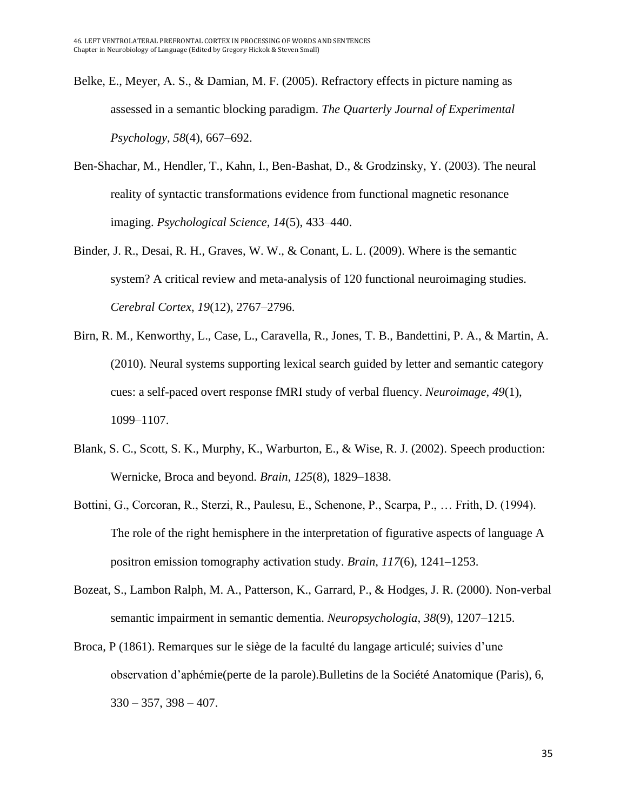- Belke, E., Meyer, A. S., & Damian, M. F. (2005). Refractory effects in picture naming as assessed in a semantic blocking paradigm. *The Quarterly Journal of Experimental Psychology*, *58*(4), 667–692.
- Ben-Shachar, M., Hendler, T., Kahn, I., Ben-Bashat, D., & Grodzinsky, Y. (2003). The neural reality of syntactic transformations evidence from functional magnetic resonance imaging. *Psychological Science*, *14*(5), 433–440.
- Binder, J. R., Desai, R. H., Graves, W. W., & Conant, L. L. (2009). Where is the semantic system? A critical review and meta-analysis of 120 functional neuroimaging studies. *Cerebral Cortex*, *19*(12), 2767–2796.
- Birn, R. M., Kenworthy, L., Case, L., Caravella, R., Jones, T. B., Bandettini, P. A., & Martin, A. (2010). Neural systems supporting lexical search guided by letter and semantic category cues: a self-paced overt response fMRI study of verbal fluency. *Neuroimage*, *49*(1), 1099–1107.
- Blank, S. C., Scott, S. K., Murphy, K., Warburton, E., & Wise, R. J. (2002). Speech production: Wernicke, Broca and beyond. *Brain*, *125*(8), 1829–1838.
- Bottini, G., Corcoran, R., Sterzi, R., Paulesu, E., Schenone, P., Scarpa, P., … Frith, D. (1994). The role of the right hemisphere in the interpretation of figurative aspects of language A positron emission tomography activation study. *Brain*, *117*(6), 1241–1253.
- Bozeat, S., Lambon Ralph, M. A., Patterson, K., Garrard, P., & Hodges, J. R. (2000). Non-verbal semantic impairment in semantic dementia. *Neuropsychologia*, *38*(9), 1207–1215.
- Broca, P (1861). Remarques sur le siège de la faculté du langage articulé; suivies d'une observation d'aphémie(perte de la parole).Bulletins de la Société Anatomique (Paris), 6,  $330 - 357$ ,  $398 - 407$ .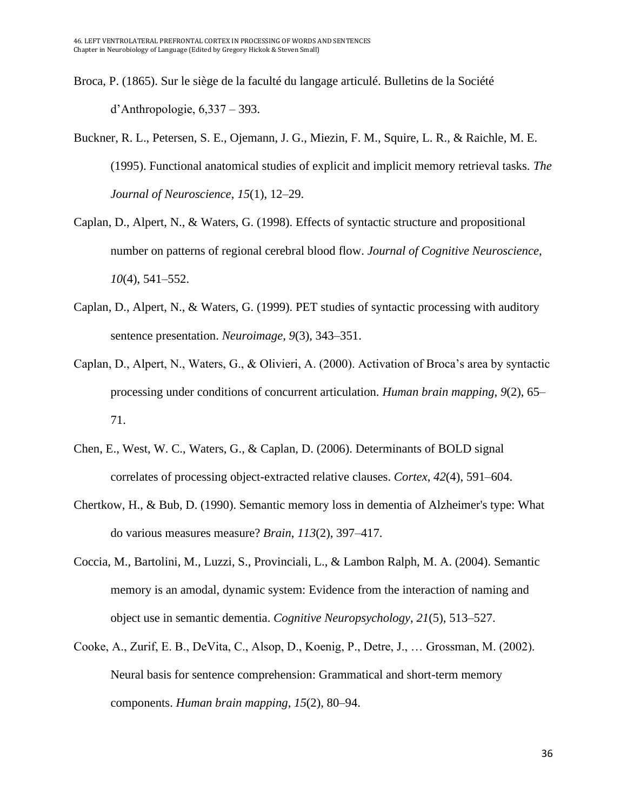- Broca, P. (1865). Sur le siège de la faculté du langage articulé. Bulletins de la Société d'Anthropologie, 6,337 – 393.
- Buckner, R. L., Petersen, S. E., Ojemann, J. G., Miezin, F. M., Squire, L. R., & Raichle, M. E. (1995). Functional anatomical studies of explicit and implicit memory retrieval tasks. *The Journal of Neuroscience*, *15*(1), 12–29.
- Caplan, D., Alpert, N., & Waters, G. (1998). Effects of syntactic structure and propositional number on patterns of regional cerebral blood flow. *Journal of Cognitive Neuroscience*, *10*(4), 541–552.
- Caplan, D., Alpert, N., & Waters, G. (1999). PET studies of syntactic processing with auditory sentence presentation. *Neuroimage*, *9*(3), 343–351.
- Caplan, D., Alpert, N., Waters, G., & Olivieri, A. (2000). Activation of Broca's area by syntactic processing under conditions of concurrent articulation. *Human brain mapping*, *9*(2), 65– 71.
- Chen, E., West, W. C., Waters, G., & Caplan, D. (2006). Determinants of BOLD signal correlates of processing object-extracted relative clauses. *Cortex*, *42*(4), 591–604.
- Chertkow, H., & Bub, D. (1990). Semantic memory loss in dementia of Alzheimer's type: What do various measures measure? *Brain*, *113*(2), 397–417.
- Coccia, M., Bartolini, M., Luzzi, S., Provinciali, L., & Lambon Ralph, M. A. (2004). Semantic memory is an amodal, dynamic system: Evidence from the interaction of naming and object use in semantic dementia. *Cognitive Neuropsychology*, *21*(5), 513–527.
- Cooke, A., Zurif, E. B., DeVita, C., Alsop, D., Koenig, P., Detre, J., … Grossman, M. (2002). Neural basis for sentence comprehension: Grammatical and short-term memory components. *Human brain mapping*, *15*(2), 80–94.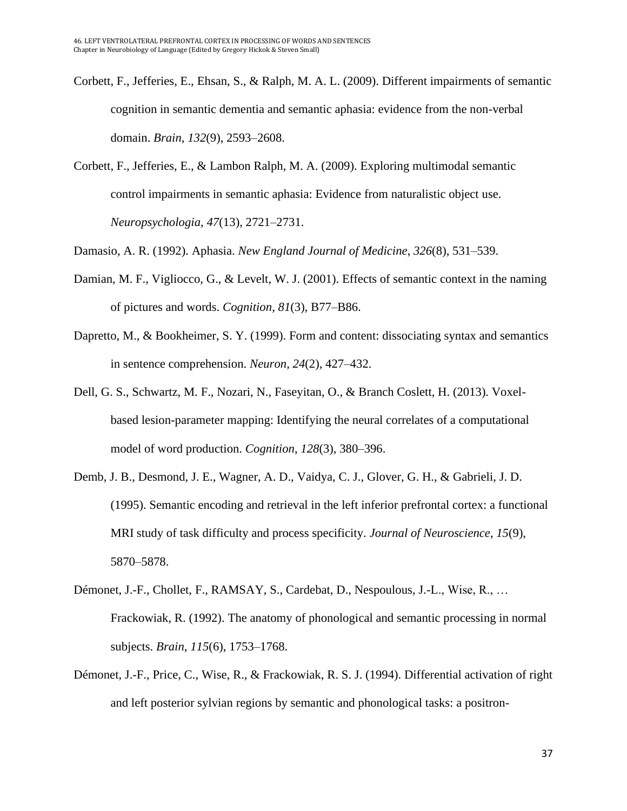- Corbett, F., Jefferies, E., Ehsan, S., & Ralph, M. A. L. (2009). Different impairments of semantic cognition in semantic dementia and semantic aphasia: evidence from the non-verbal domain. *Brain*, *132*(9), 2593–2608.
- Corbett, F., Jefferies, E., & Lambon Ralph, M. A. (2009). Exploring multimodal semantic control impairments in semantic aphasia: Evidence from naturalistic object use. *Neuropsychologia*, *47*(13), 2721–2731.

Damasio, A. R. (1992). Aphasia. *New England Journal of Medicine*, *326*(8), 531–539.

- Damian, M. F., Vigliocco, G., & Levelt, W. J. (2001). Effects of semantic context in the naming of pictures and words. *Cognition*, *81*(3), B77–B86.
- Dapretto, M., & Bookheimer, S. Y. (1999). Form and content: dissociating syntax and semantics in sentence comprehension. *Neuron*, *24*(2), 427–432.
- Dell, G. S., Schwartz, M. F., Nozari, N., Faseyitan, O., & Branch Coslett, H. (2013). Voxelbased lesion-parameter mapping: Identifying the neural correlates of a computational model of word production. *Cognition*, *128*(3), 380–396.
- Demb, J. B., Desmond, J. E., Wagner, A. D., Vaidya, C. J., Glover, G. H., & Gabrieli, J. D. (1995). Semantic encoding and retrieval in the left inferior prefrontal cortex: a functional MRI study of task difficulty and process specificity. *Journal of Neuroscience*, *15*(9), 5870–5878.
- Démonet, J.-F., Chollet, F., RAMSAY, S., Cardebat, D., Nespoulous, J.-L., Wise, R., … Frackowiak, R. (1992). The anatomy of phonological and semantic processing in normal subjects. *Brain*, *115*(6), 1753–1768.
- Démonet, J.-F., Price, C., Wise, R., & Frackowiak, R. S. J. (1994). Differential activation of right and left posterior sylvian regions by semantic and phonological tasks: a positron-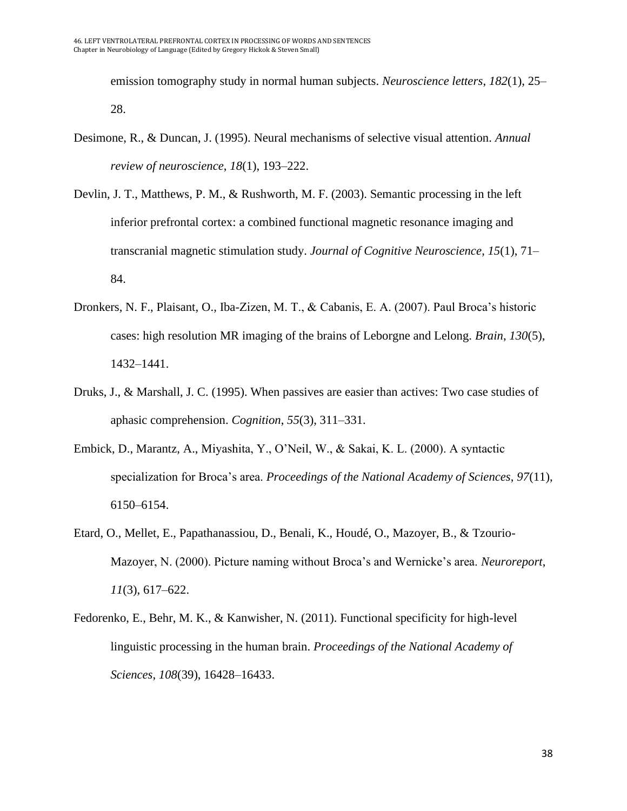emission tomography study in normal human subjects. *Neuroscience letters*, *182*(1), 25– 28.

- Desimone, R., & Duncan, J. (1995). Neural mechanisms of selective visual attention. *Annual review of neuroscience*, *18*(1), 193–222.
- Devlin, J. T., Matthews, P. M., & Rushworth, M. F. (2003). Semantic processing in the left inferior prefrontal cortex: a combined functional magnetic resonance imaging and transcranial magnetic stimulation study. *Journal of Cognitive Neuroscience*, *15*(1), 71– 84.
- Dronkers, N. F., Plaisant, O., Iba-Zizen, M. T., & Cabanis, E. A. (2007). Paul Broca's historic cases: high resolution MR imaging of the brains of Leborgne and Lelong. *Brain*, *130*(5), 1432–1441.
- Druks, J., & Marshall, J. C. (1995). When passives are easier than actives: Two case studies of aphasic comprehension. *Cognition*, *55*(3), 311–331.
- Embick, D., Marantz, A., Miyashita, Y., O'Neil, W., & Sakai, K. L. (2000). A syntactic specialization for Broca's area. *Proceedings of the National Academy of Sciences*, *97*(11), 6150–6154.
- Etard, O., Mellet, E., Papathanassiou, D., Benali, K., Houdé, O., Mazoyer, B., & Tzourio-Mazoyer, N. (2000). Picture naming without Broca's and Wernicke's area. *Neuroreport*, *11*(3), 617–622.
- Fedorenko, E., Behr, M. K., & Kanwisher, N. (2011). Functional specificity for high-level linguistic processing in the human brain. *Proceedings of the National Academy of Sciences*, *108*(39), 16428–16433.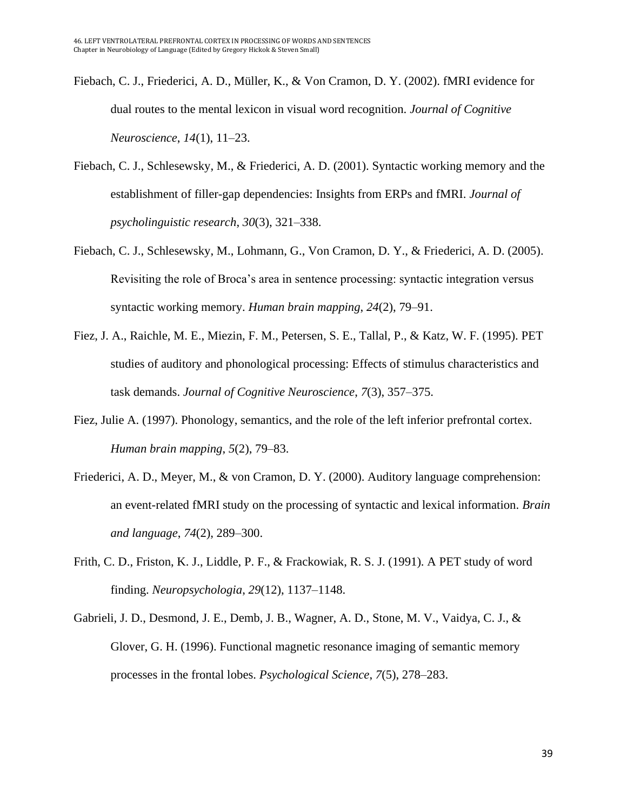- Fiebach, C. J., Friederici, A. D., Müller, K., & Von Cramon, D. Y. (2002). fMRI evidence for dual routes to the mental lexicon in visual word recognition. *Journal of Cognitive Neuroscience*, *14*(1), 11–23.
- Fiebach, C. J., Schlesewsky, M., & Friederici, A. D. (2001). Syntactic working memory and the establishment of filler-gap dependencies: Insights from ERPs and fMRI. *Journal of psycholinguistic research*, *30*(3), 321–338.
- Fiebach, C. J., Schlesewsky, M., Lohmann, G., Von Cramon, D. Y., & Friederici, A. D. (2005). Revisiting the role of Broca's area in sentence processing: syntactic integration versus syntactic working memory. *Human brain mapping*, *24*(2), 79–91.
- Fiez, J. A., Raichle, M. E., Miezin, F. M., Petersen, S. E., Tallal, P., & Katz, W. F. (1995). PET studies of auditory and phonological processing: Effects of stimulus characteristics and task demands. *Journal of Cognitive Neuroscience*, *7*(3), 357–375.
- Fiez, Julie A. (1997). Phonology, semantics, and the role of the left inferior prefrontal cortex. *Human brain mapping*, *5*(2), 79–83.
- Friederici, A. D., Meyer, M., & von Cramon, D. Y. (2000). Auditory language comprehension: an event-related fMRI study on the processing of syntactic and lexical information. *Brain and language*, *74*(2), 289–300.
- Frith, C. D., Friston, K. J., Liddle, P. F., & Frackowiak, R. S. J. (1991). A PET study of word finding. *Neuropsychologia*, *29*(12), 1137–1148.
- Gabrieli, J. D., Desmond, J. E., Demb, J. B., Wagner, A. D., Stone, M. V., Vaidya, C. J., & Glover, G. H. (1996). Functional magnetic resonance imaging of semantic memory processes in the frontal lobes. *Psychological Science*, *7*(5), 278–283.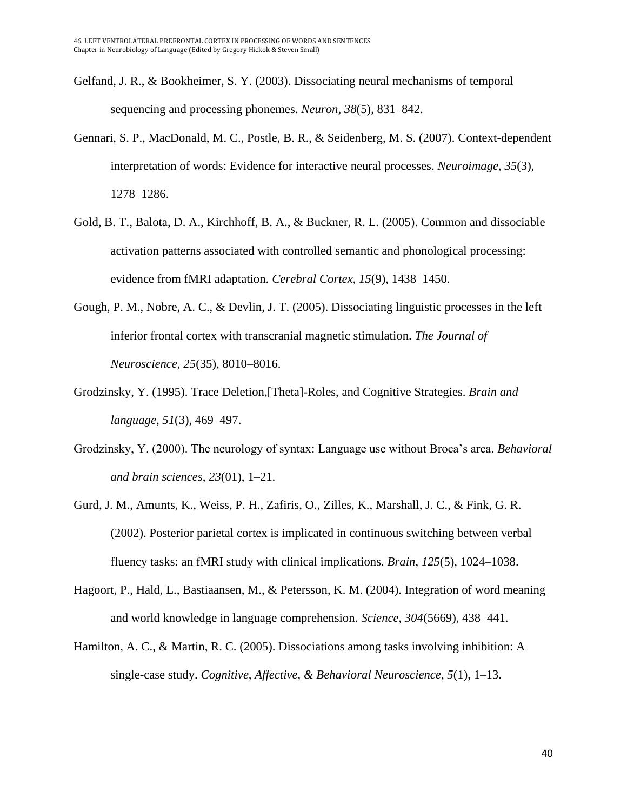- Gelfand, J. R., & Bookheimer, S. Y. (2003). Dissociating neural mechanisms of temporal sequencing and processing phonemes. *Neuron*, *38*(5), 831–842.
- Gennari, S. P., MacDonald, M. C., Postle, B. R., & Seidenberg, M. S. (2007). Context-dependent interpretation of words: Evidence for interactive neural processes. *Neuroimage*, *35*(3), 1278–1286.
- Gold, B. T., Balota, D. A., Kirchhoff, B. A., & Buckner, R. L. (2005). Common and dissociable activation patterns associated with controlled semantic and phonological processing: evidence from fMRI adaptation. *Cerebral Cortex*, *15*(9), 1438–1450.
- Gough, P. M., Nobre, A. C., & Devlin, J. T. (2005). Dissociating linguistic processes in the left inferior frontal cortex with transcranial magnetic stimulation. *The Journal of Neuroscience*, *25*(35), 8010–8016.
- Grodzinsky, Y. (1995). Trace Deletion,[Theta]-Roles, and Cognitive Strategies. *Brain and language*, *51*(3), 469–497.
- Grodzinsky, Y. (2000). The neurology of syntax: Language use without Broca's area. *Behavioral and brain sciences*, *23*(01), 1–21.
- Gurd, J. M., Amunts, K., Weiss, P. H., Zafiris, O., Zilles, K., Marshall, J. C., & Fink, G. R. (2002). Posterior parietal cortex is implicated in continuous switching between verbal fluency tasks: an fMRI study with clinical implications. *Brain*, *125*(5), 1024–1038.
- Hagoort, P., Hald, L., Bastiaansen, M., & Petersson, K. M. (2004). Integration of word meaning and world knowledge in language comprehension. *Science*, *304*(5669), 438–441.
- Hamilton, A. C., & Martin, R. C. (2005). Dissociations among tasks involving inhibition: A single-case study. *Cognitive, Affective, & Behavioral Neuroscience*, *5*(1), 1–13.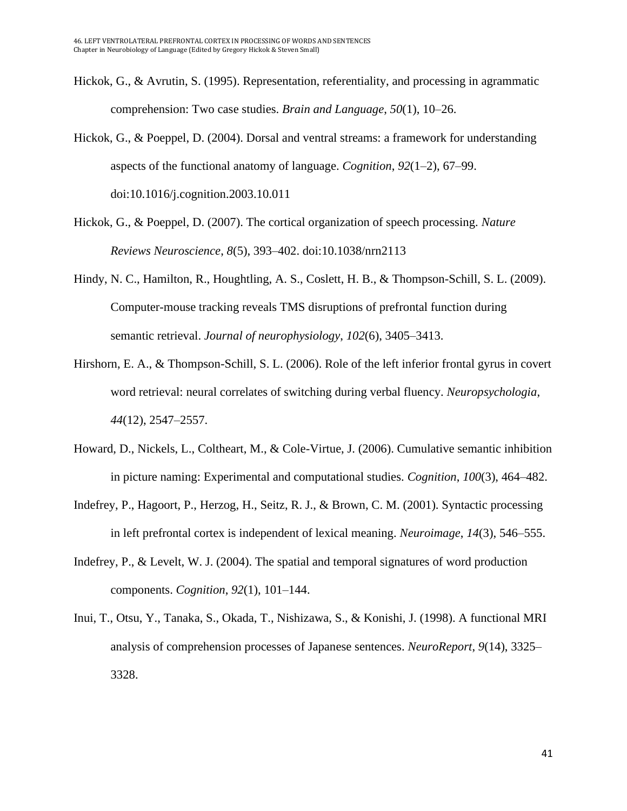- Hickok, G., & Avrutin, S. (1995). Representation, referentiality, and processing in agrammatic comprehension: Two case studies. *Brain and Language*, *50*(1), 10–26.
- Hickok, G., & Poeppel, D. (2004). Dorsal and ventral streams: a framework for understanding aspects of the functional anatomy of language. *Cognition*, *92*(1–2), 67–99. doi:10.1016/j.cognition.2003.10.011
- Hickok, G., & Poeppel, D. (2007). The cortical organization of speech processing. *Nature Reviews Neuroscience*, *8*(5), 393–402. doi:10.1038/nrn2113
- Hindy, N. C., Hamilton, R., Houghtling, A. S., Coslett, H. B., & Thompson-Schill, S. L. (2009). Computer-mouse tracking reveals TMS disruptions of prefrontal function during semantic retrieval. *Journal of neurophysiology*, *102*(6), 3405–3413.
- Hirshorn, E. A., & Thompson-Schill, S. L. (2006). Role of the left inferior frontal gyrus in covert word retrieval: neural correlates of switching during verbal fluency. *Neuropsychologia*, *44*(12), 2547–2557.
- Howard, D., Nickels, L., Coltheart, M., & Cole-Virtue, J. (2006). Cumulative semantic inhibition in picture naming: Experimental and computational studies. *Cognition*, *100*(3), 464–482.
- Indefrey, P., Hagoort, P., Herzog, H., Seitz, R. J., & Brown, C. M. (2001). Syntactic processing in left prefrontal cortex is independent of lexical meaning. *Neuroimage*, *14*(3), 546–555.
- Indefrey, P., & Levelt, W. J. (2004). The spatial and temporal signatures of word production components. *Cognition*, *92*(1), 101–144.
- Inui, T., Otsu, Y., Tanaka, S., Okada, T., Nishizawa, S., & Konishi, J. (1998). A functional MRI analysis of comprehension processes of Japanese sentences. *NeuroReport*, *9*(14), 3325– 3328.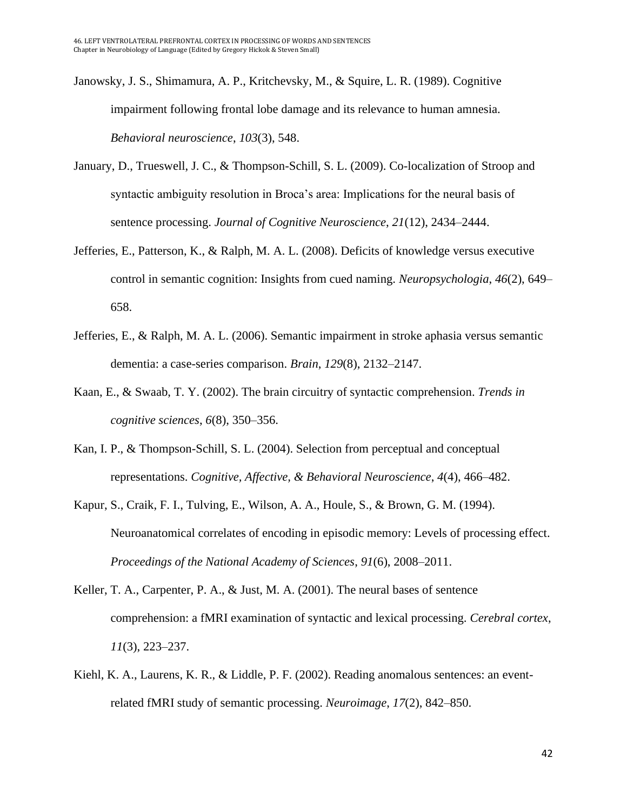- Janowsky, J. S., Shimamura, A. P., Kritchevsky, M., & Squire, L. R. (1989). Cognitive impairment following frontal lobe damage and its relevance to human amnesia. *Behavioral neuroscience*, *103*(3), 548.
- January, D., Trueswell, J. C., & Thompson-Schill, S. L. (2009). Co-localization of Stroop and syntactic ambiguity resolution in Broca's area: Implications for the neural basis of sentence processing. *Journal of Cognitive Neuroscience*, *21*(12), 2434–2444.
- Jefferies, E., Patterson, K., & Ralph, M. A. L. (2008). Deficits of knowledge versus executive control in semantic cognition: Insights from cued naming. *Neuropsychologia*, *46*(2), 649– 658.
- Jefferies, E., & Ralph, M. A. L. (2006). Semantic impairment in stroke aphasia versus semantic dementia: a case-series comparison. *Brain*, *129*(8), 2132–2147.
- Kaan, E., & Swaab, T. Y. (2002). The brain circuitry of syntactic comprehension. *Trends in cognitive sciences*, *6*(8), 350–356.
- Kan, I. P., & Thompson-Schill, S. L. (2004). Selection from perceptual and conceptual representations. *Cognitive, Affective, & Behavioral Neuroscience*, *4*(4), 466–482.
- Kapur, S., Craik, F. I., Tulving, E., Wilson, A. A., Houle, S., & Brown, G. M. (1994). Neuroanatomical correlates of encoding in episodic memory: Levels of processing effect. *Proceedings of the National Academy of Sciences*, *91*(6), 2008–2011.
- Keller, T. A., Carpenter, P. A., & Just, M. A. (2001). The neural bases of sentence comprehension: a fMRI examination of syntactic and lexical processing. *Cerebral cortex*, *11*(3), 223–237.
- Kiehl, K. A., Laurens, K. R., & Liddle, P. F. (2002). Reading anomalous sentences: an eventrelated fMRI study of semantic processing. *Neuroimage*, *17*(2), 842–850.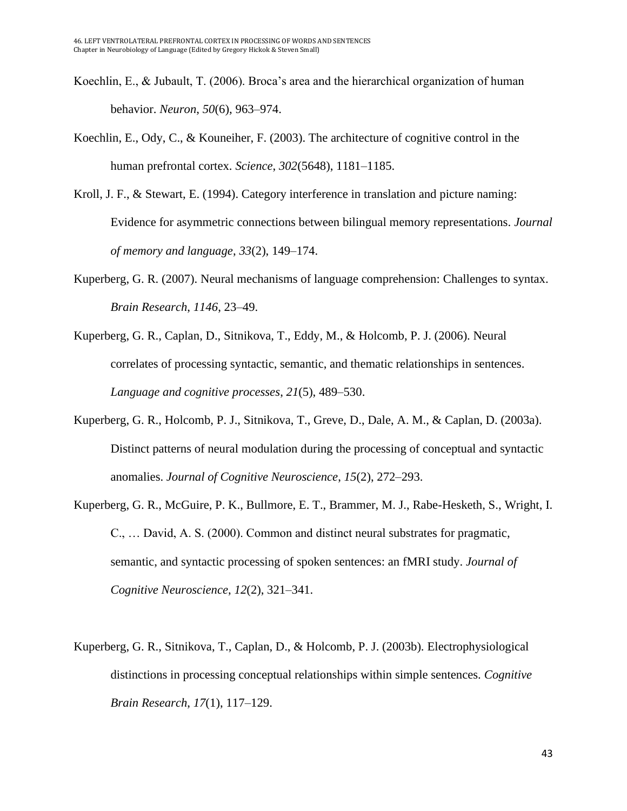- Koechlin, E., & Jubault, T. (2006). Broca's area and the hierarchical organization of human behavior. *Neuron*, *50*(6), 963–974.
- Koechlin, E., Ody, C., & Kouneiher, F. (2003). The architecture of cognitive control in the human prefrontal cortex. *Science*, *302*(5648), 1181–1185.
- Kroll, J. F., & Stewart, E. (1994). Category interference in translation and picture naming: Evidence for asymmetric connections between bilingual memory representations. *Journal of memory and language*, *33*(2), 149–174.
- Kuperberg, G. R. (2007). Neural mechanisms of language comprehension: Challenges to syntax. *Brain Research*, *1146*, 23–49.
- Kuperberg, G. R., Caplan, D., Sitnikova, T., Eddy, M., & Holcomb, P. J. (2006). Neural correlates of processing syntactic, semantic, and thematic relationships in sentences. *Language and cognitive processes*, *21*(5), 489–530.
- Kuperberg, G. R., Holcomb, P. J., Sitnikova, T., Greve, D., Dale, A. M., & Caplan, D. (2003a). Distinct patterns of neural modulation during the processing of conceptual and syntactic anomalies. *Journal of Cognitive Neuroscience*, *15*(2), 272–293.
- Kuperberg, G. R., McGuire, P. K., Bullmore, E. T., Brammer, M. J., Rabe-Hesketh, S., Wright, I. C., … David, A. S. (2000). Common and distinct neural substrates for pragmatic, semantic, and syntactic processing of spoken sentences: an fMRI study. *Journal of Cognitive Neuroscience*, *12*(2), 321–341.
- Kuperberg, G. R., Sitnikova, T., Caplan, D., & Holcomb, P. J. (2003b). Electrophysiological distinctions in processing conceptual relationships within simple sentences. *Cognitive Brain Research*, *17*(1), 117–129.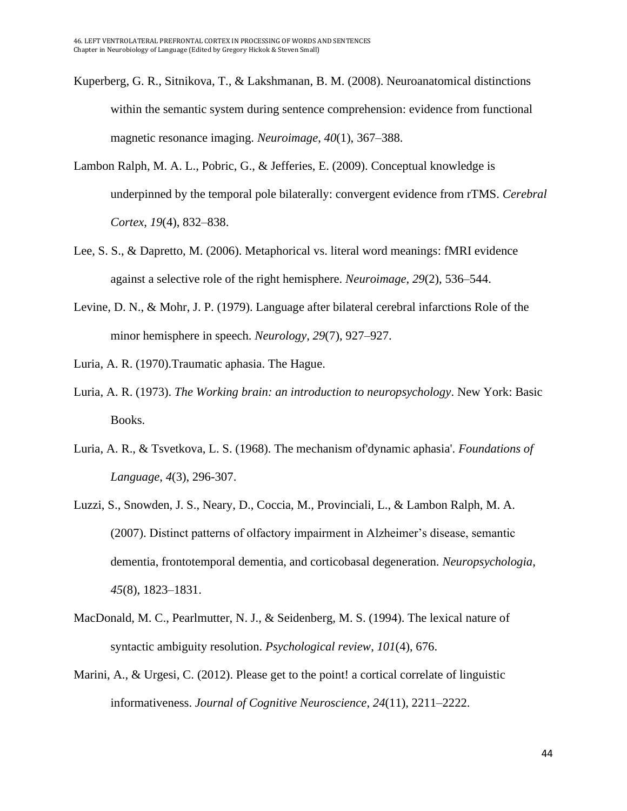- Kuperberg, G. R., Sitnikova, T., & Lakshmanan, B. M. (2008). Neuroanatomical distinctions within the semantic system during sentence comprehension: evidence from functional magnetic resonance imaging. *Neuroimage*, *40*(1), 367–388.
- Lambon Ralph, M. A. L., Pobric, G., & Jefferies, E. (2009). Conceptual knowledge is underpinned by the temporal pole bilaterally: convergent evidence from rTMS. *Cerebral Cortex*, *19*(4), 832–838.
- Lee, S. S., & Dapretto, M. (2006). Metaphorical vs. literal word meanings: fMRI evidence against a selective role of the right hemisphere. *Neuroimage*, *29*(2), 536–544.
- Levine, D. N., & Mohr, J. P. (1979). Language after bilateral cerebral infarctions Role of the minor hemisphere in speech. *Neurology*, *29*(7), 927–927.

Luria, A. R. (1970).Traumatic aphasia. The Hague.

- Luria, A. R. (1973). *The Working brain: an introduction to neuropsychology*. New York: Basic Books.
- Luria, A. R., & Tsvetkova, L. S. (1968). The mechanism of'dynamic aphasia'. *Foundations of Language*, *4*(3), 296-307.
- Luzzi, S., Snowden, J. S., Neary, D., Coccia, M., Provinciali, L., & Lambon Ralph, M. A. (2007). Distinct patterns of olfactory impairment in Alzheimer's disease, semantic dementia, frontotemporal dementia, and corticobasal degeneration. *Neuropsychologia*, *45*(8), 1823–1831.
- MacDonald, M. C., Pearlmutter, N. J., & Seidenberg, M. S. (1994). The lexical nature of syntactic ambiguity resolution. *Psychological review*, *101*(4), 676.
- Marini, A., & Urgesi, C. (2012). Please get to the point! a cortical correlate of linguistic informativeness. *Journal of Cognitive Neuroscience*, *24*(11), 2211–2222.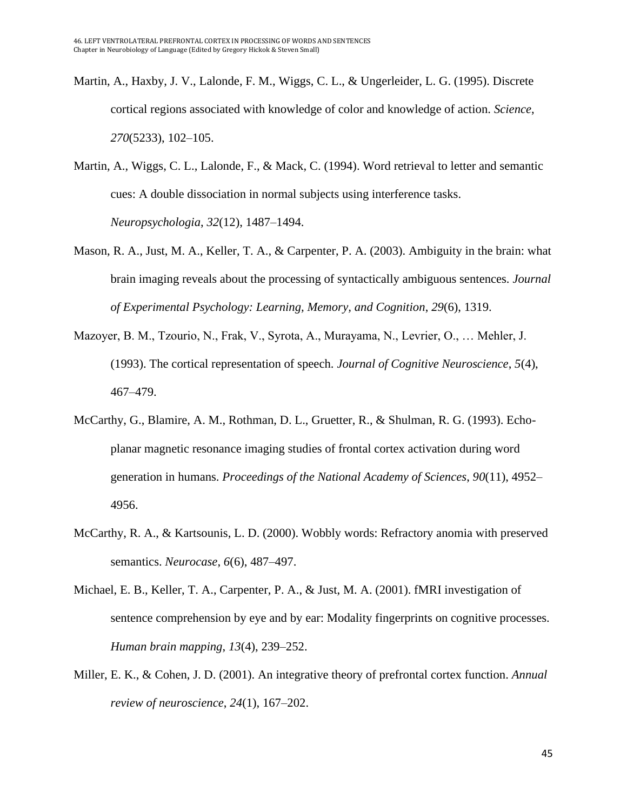- Martin, A., Haxby, J. V., Lalonde, F. M., Wiggs, C. L., & Ungerleider, L. G. (1995). Discrete cortical regions associated with knowledge of color and knowledge of action. *Science*, *270*(5233), 102–105.
- Martin, A., Wiggs, C. L., Lalonde, F., & Mack, C. (1994). Word retrieval to letter and semantic cues: A double dissociation in normal subjects using interference tasks. *Neuropsychologia*, *32*(12), 1487–1494.
- Mason, R. A., Just, M. A., Keller, T. A., & Carpenter, P. A. (2003). Ambiguity in the brain: what brain imaging reveals about the processing of syntactically ambiguous sentences. *Journal of Experimental Psychology: Learning, Memory, and Cognition*, *29*(6), 1319.
- Mazoyer, B. M., Tzourio, N., Frak, V., Syrota, A., Murayama, N., Levrier, O., … Mehler, J. (1993). The cortical representation of speech. *Journal of Cognitive Neuroscience*, *5*(4), 467–479.
- McCarthy, G., Blamire, A. M., Rothman, D. L., Gruetter, R., & Shulman, R. G. (1993). Echoplanar magnetic resonance imaging studies of frontal cortex activation during word generation in humans. *Proceedings of the National Academy of Sciences*, *90*(11), 4952– 4956.
- McCarthy, R. A., & Kartsounis, L. D. (2000). Wobbly words: Refractory anomia with preserved semantics. *Neurocase*, *6*(6), 487–497.
- Michael, E. B., Keller, T. A., Carpenter, P. A., & Just, M. A. (2001). fMRI investigation of sentence comprehension by eye and by ear: Modality fingerprints on cognitive processes. *Human brain mapping*, *13*(4), 239–252.
- Miller, E. K., & Cohen, J. D. (2001). An integrative theory of prefrontal cortex function. *Annual review of neuroscience*, *24*(1), 167–202.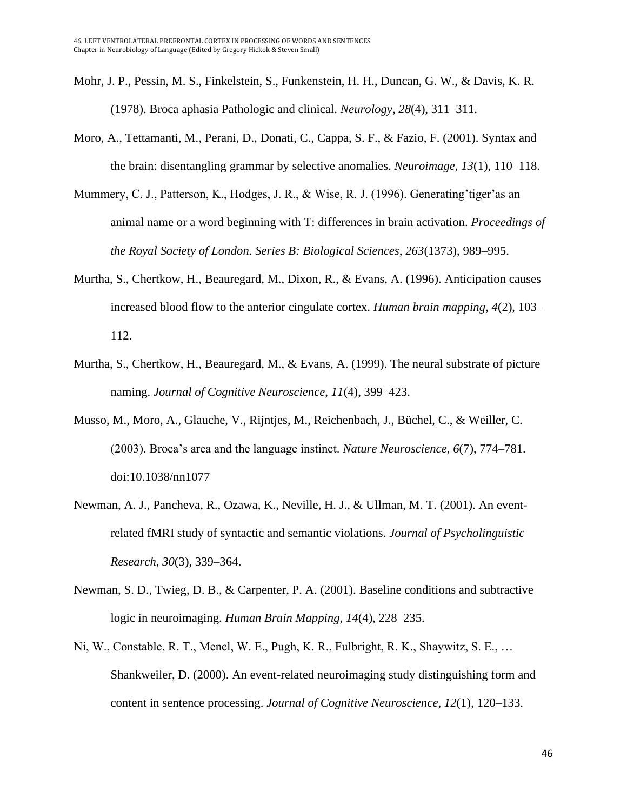- Mohr, J. P., Pessin, M. S., Finkelstein, S., Funkenstein, H. H., Duncan, G. W., & Davis, K. R. (1978). Broca aphasia Pathologic and clinical. *Neurology*, *28*(4), 311–311.
- Moro, A., Tettamanti, M., Perani, D., Donati, C., Cappa, S. F., & Fazio, F. (2001). Syntax and the brain: disentangling grammar by selective anomalies. *Neuroimage*, *13*(1), 110–118.
- Mummery, C. J., Patterson, K., Hodges, J. R., & Wise, R. J. (1996). Generating'tiger'as an animal name or a word beginning with T: differences in brain activation. *Proceedings of the Royal Society of London. Series B: Biological Sciences*, *263*(1373), 989–995.
- Murtha, S., Chertkow, H., Beauregard, M., Dixon, R., & Evans, A. (1996). Anticipation causes increased blood flow to the anterior cingulate cortex. *Human brain mapping*, *4*(2), 103– 112.
- Murtha, S., Chertkow, H., Beauregard, M., & Evans, A. (1999). The neural substrate of picture naming. *Journal of Cognitive Neuroscience*, *11*(4), 399–423.
- Musso, M., Moro, A., Glauche, V., Rijntjes, M., Reichenbach, J., Büchel, C., & Weiller, C. (2003). Broca's area and the language instinct. *Nature Neuroscience*, *6*(7), 774–781. doi:10.1038/nn1077
- Newman, A. J., Pancheva, R., Ozawa, K., Neville, H. J., & Ullman, M. T. (2001). An eventrelated fMRI study of syntactic and semantic violations. *Journal of Psycholinguistic Research*, *30*(3), 339–364.
- Newman, S. D., Twieg, D. B., & Carpenter, P. A. (2001). Baseline conditions and subtractive logic in neuroimaging. *Human Brain Mapping*, *14*(4), 228–235.
- Ni, W., Constable, R. T., Mencl, W. E., Pugh, K. R., Fulbright, R. K., Shaywitz, S. E., … Shankweiler, D. (2000). An event-related neuroimaging study distinguishing form and content in sentence processing. *Journal of Cognitive Neuroscience*, *12*(1), 120–133.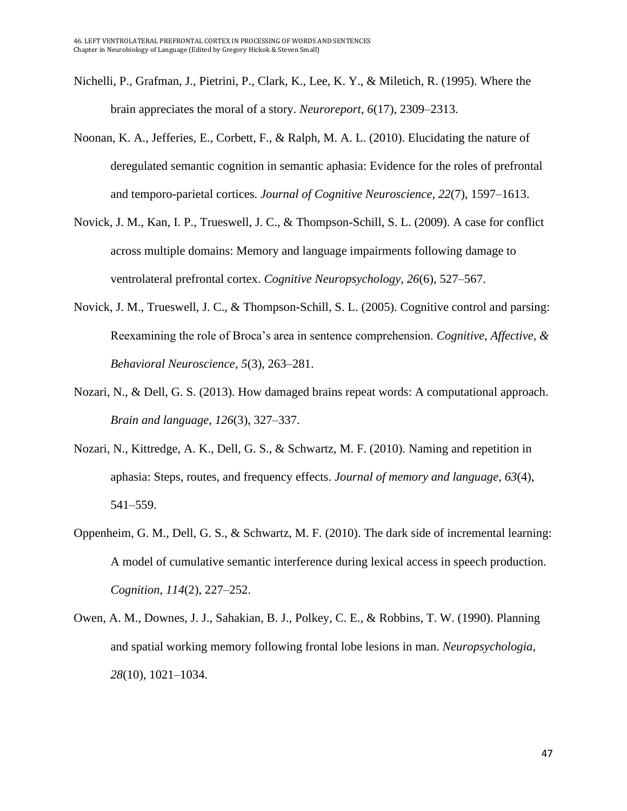- Nichelli, P., Grafman, J., Pietrini, P., Clark, K., Lee, K. Y., & Miletich, R. (1995). Where the brain appreciates the moral of a story. *Neuroreport*, *6*(17), 2309–2313.
- Noonan, K. A., Jefferies, E., Corbett, F., & Ralph, M. A. L. (2010). Elucidating the nature of deregulated semantic cognition in semantic aphasia: Evidence for the roles of prefrontal and temporo-parietal cortices. *Journal of Cognitive Neuroscience*, *22*(7), 1597–1613.
- Novick, J. M., Kan, I. P., Trueswell, J. C., & Thompson-Schill, S. L. (2009). A case for conflict across multiple domains: Memory and language impairments following damage to ventrolateral prefrontal cortex. *Cognitive Neuropsychology*, *26*(6), 527–567.
- Novick, J. M., Trueswell, J. C., & Thompson-Schill, S. L. (2005). Cognitive control and parsing: Reexamining the role of Broca's area in sentence comprehension. *Cognitive, Affective, & Behavioral Neuroscience*, *5*(3), 263–281.
- Nozari, N., & Dell, G. S. (2013). How damaged brains repeat words: A computational approach. *Brain and language*, *126*(3), 327–337.
- Nozari, N., Kittredge, A. K., Dell, G. S., & Schwartz, M. F. (2010). Naming and repetition in aphasia: Steps, routes, and frequency effects. *Journal of memory and language*, *63*(4), 541–559.
- Oppenheim, G. M., Dell, G. S., & Schwartz, M. F. (2010). The dark side of incremental learning: A model of cumulative semantic interference during lexical access in speech production. *Cognition*, *114*(2), 227–252.
- Owen, A. M., Downes, J. J., Sahakian, B. J., Polkey, C. E., & Robbins, T. W. (1990). Planning and spatial working memory following frontal lobe lesions in man. *Neuropsychologia*, *28*(10), 1021–1034.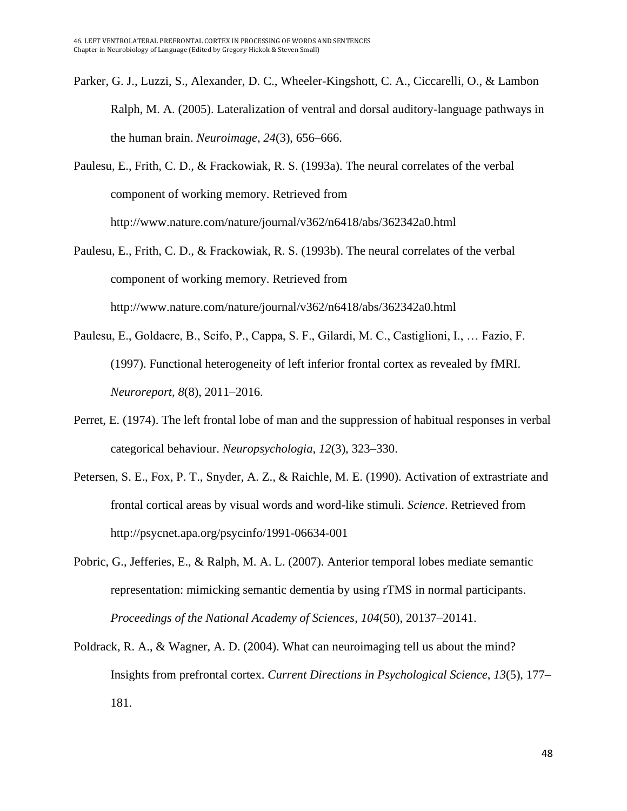- Parker, G. J., Luzzi, S., Alexander, D. C., Wheeler-Kingshott, C. A., Ciccarelli, O., & Lambon Ralph, M. A. (2005). Lateralization of ventral and dorsal auditory-language pathways in the human brain. *Neuroimage*, *24*(3), 656–666.
- Paulesu, E., Frith, C. D., & Frackowiak, R. S. (1993a). The neural correlates of the verbal component of working memory. Retrieved from http://www.nature.com/nature/journal/v362/n6418/abs/362342a0.html
- Paulesu, E., Frith, C. D., & Frackowiak, R. S. (1993b). The neural correlates of the verbal component of working memory. Retrieved from http://www.nature.com/nature/journal/v362/n6418/abs/362342a0.html
- Paulesu, E., Goldacre, B., Scifo, P., Cappa, S. F., Gilardi, M. C., Castiglioni, I., … Fazio, F. (1997). Functional heterogeneity of left inferior frontal cortex as revealed by fMRI. *Neuroreport*, *8*(8), 2011–2016.
- Perret, E. (1974). The left frontal lobe of man and the suppression of habitual responses in verbal categorical behaviour. *Neuropsychologia*, *12*(3), 323–330.
- Petersen, S. E., Fox, P. T., Snyder, A. Z., & Raichle, M. E. (1990). Activation of extrastriate and frontal cortical areas by visual words and word-like stimuli. *Science*. Retrieved from http://psycnet.apa.org/psycinfo/1991-06634-001
- Pobric, G., Jefferies, E., & Ralph, M. A. L. (2007). Anterior temporal lobes mediate semantic representation: mimicking semantic dementia by using rTMS in normal participants. *Proceedings of the National Academy of Sciences*, *104*(50), 20137–20141.
- Poldrack, R. A., & Wagner, A. D. (2004). What can neuroimaging tell us about the mind? Insights from prefrontal cortex. *Current Directions in Psychological Science*, *13*(5), 177– 181.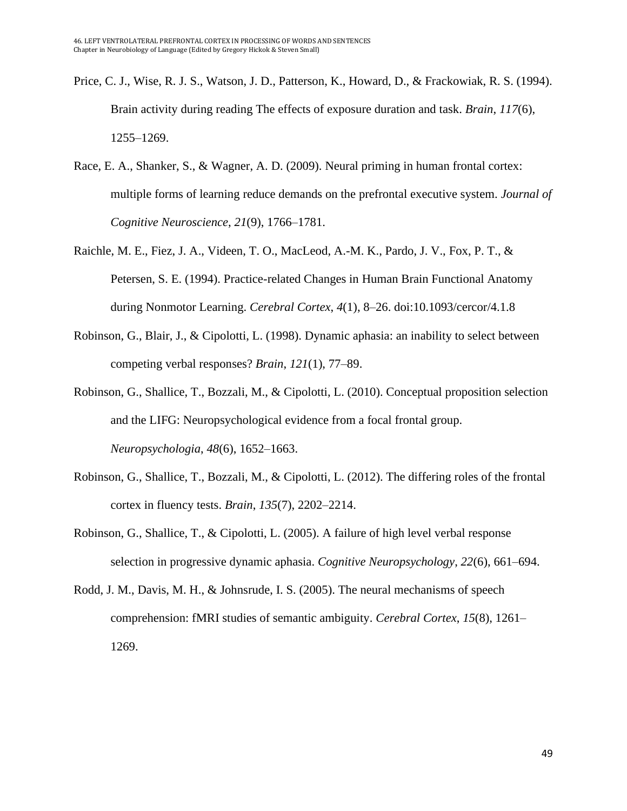- Price, C. J., Wise, R. J. S., Watson, J. D., Patterson, K., Howard, D., & Frackowiak, R. S. (1994). Brain activity during reading The effects of exposure duration and task. *Brain*, *117*(6), 1255–1269.
- Race, E. A., Shanker, S., & Wagner, A. D. (2009). Neural priming in human frontal cortex: multiple forms of learning reduce demands on the prefrontal executive system. *Journal of Cognitive Neuroscience*, *21*(9), 1766–1781.
- Raichle, M. E., Fiez, J. A., Videen, T. O., MacLeod, A.-M. K., Pardo, J. V., Fox, P. T., & Petersen, S. E. (1994). Practice-related Changes in Human Brain Functional Anatomy during Nonmotor Learning. *Cerebral Cortex*, *4*(1), 8–26. doi:10.1093/cercor/4.1.8
- Robinson, G., Blair, J., & Cipolotti, L. (1998). Dynamic aphasia: an inability to select between competing verbal responses? *Brain*, *121*(1), 77–89.
- Robinson, G., Shallice, T., Bozzali, M., & Cipolotti, L. (2010). Conceptual proposition selection and the LIFG: Neuropsychological evidence from a focal frontal group. *Neuropsychologia*, *48*(6), 1652–1663.
- Robinson, G., Shallice, T., Bozzali, M., & Cipolotti, L. (2012). The differing roles of the frontal cortex in fluency tests. *Brain*, *135*(7), 2202–2214.
- Robinson, G., Shallice, T., & Cipolotti, L. (2005). A failure of high level verbal response selection in progressive dynamic aphasia. *Cognitive Neuropsychology*, *22*(6), 661–694.
- Rodd, J. M., Davis, M. H., & Johnsrude, I. S. (2005). The neural mechanisms of speech comprehension: fMRI studies of semantic ambiguity. *Cerebral Cortex*, *15*(8), 1261– 1269.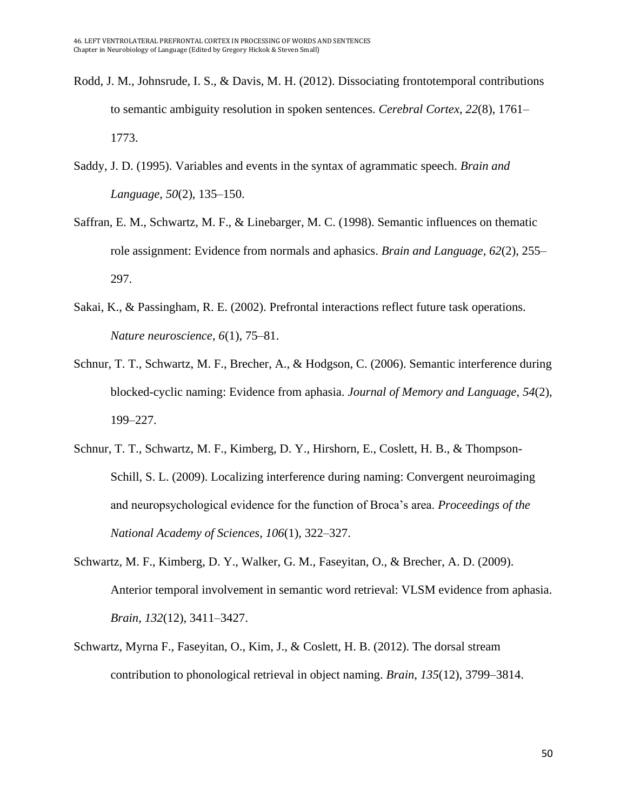- Rodd, J. M., Johnsrude, I. S., & Davis, M. H. (2012). Dissociating frontotemporal contributions to semantic ambiguity resolution in spoken sentences. *Cerebral Cortex*, *22*(8), 1761– 1773.
- Saddy, J. D. (1995). Variables and events in the syntax of agrammatic speech. *Brain and Language*, *50*(2), 135–150.
- Saffran, E. M., Schwartz, M. F., & Linebarger, M. C. (1998). Semantic influences on thematic role assignment: Evidence from normals and aphasics. *Brain and Language*, *62*(2), 255– 297.
- Sakai, K., & Passingham, R. E. (2002). Prefrontal interactions reflect future task operations. *Nature neuroscience*, *6*(1), 75–81.
- Schnur, T. T., Schwartz, M. F., Brecher, A., & Hodgson, C. (2006). Semantic interference during blocked-cyclic naming: Evidence from aphasia. *Journal of Memory and Language*, *54*(2), 199–227.
- Schnur, T. T., Schwartz, M. F., Kimberg, D. Y., Hirshorn, E., Coslett, H. B., & Thompson-Schill, S. L. (2009). Localizing interference during naming: Convergent neuroimaging and neuropsychological evidence for the function of Broca's area. *Proceedings of the National Academy of Sciences*, *106*(1), 322–327.
- Schwartz, M. F., Kimberg, D. Y., Walker, G. M., Faseyitan, O., & Brecher, A. D. (2009). Anterior temporal involvement in semantic word retrieval: VLSM evidence from aphasia. *Brain*, *132*(12), 3411–3427.
- Schwartz, Myrna F., Faseyitan, O., Kim, J., & Coslett, H. B. (2012). The dorsal stream contribution to phonological retrieval in object naming. *Brain*, *135*(12), 3799–3814.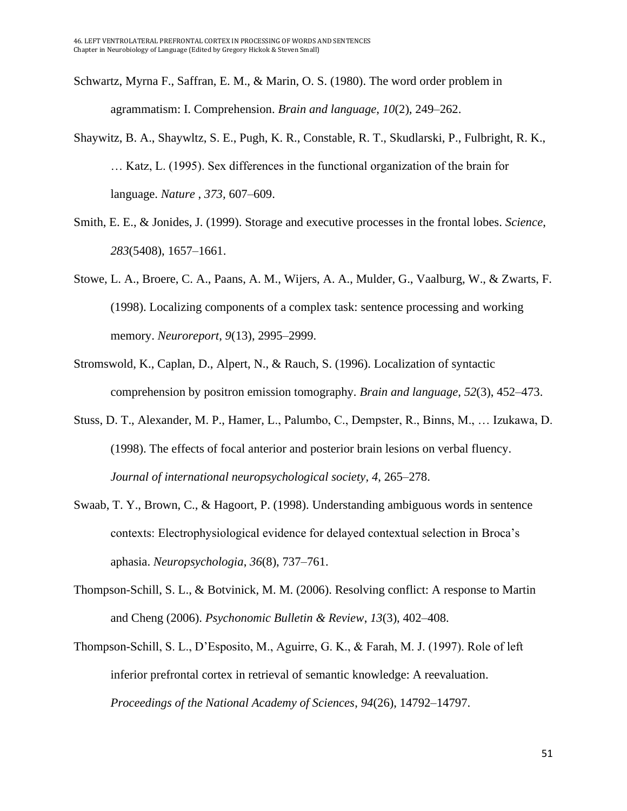- Schwartz, Myrna F., Saffran, E. M., & Marin, O. S. (1980). The word order problem in agrammatism: I. Comprehension. *Brain and language*, *10*(2), 249–262.
- Shaywitz, B. A., Shaywltz, S. E., Pugh, K. R., Constable, R. T., Skudlarski, P., Fulbright, R. K., … Katz, L. (1995). Sex differences in the functional organization of the brain for language. *Nature* , *373,* 607–609.
- Smith, E. E., & Jonides, J. (1999). Storage and executive processes in the frontal lobes. *Science*, *283*(5408), 1657–1661.
- Stowe, L. A., Broere, C. A., Paans, A. M., Wijers, A. A., Mulder, G., Vaalburg, W., & Zwarts, F. (1998). Localizing components of a complex task: sentence processing and working memory. *Neuroreport*, *9*(13), 2995–2999.
- Stromswold, K., Caplan, D., Alpert, N., & Rauch, S. (1996). Localization of syntactic comprehension by positron emission tomography. *Brain and language*, *52*(3), 452–473.
- Stuss, D. T., Alexander, M. P., Hamer, L., Palumbo, C., Dempster, R., Binns, M., … Izukawa, D. (1998). The effects of focal anterior and posterior brain lesions on verbal fluency. *Journal of international neuropsychological society, 4*, 265–278.
- Swaab, T. Y., Brown, C., & Hagoort, P. (1998). Understanding ambiguous words in sentence contexts: Electrophysiological evidence for delayed contextual selection in Broca's aphasia. *Neuropsychologia*, *36*(8), 737–761.
- Thompson-Schill, S. L., & Botvinick, M. M. (2006). Resolving conflict: A response to Martin and Cheng (2006). *Psychonomic Bulletin & Review*, *13*(3), 402–408.
- Thompson-Schill, S. L., D'Esposito, M., Aguirre, G. K., & Farah, M. J. (1997). Role of left inferior prefrontal cortex in retrieval of semantic knowledge: A reevaluation. *Proceedings of the National Academy of Sciences*, *94*(26), 14792–14797.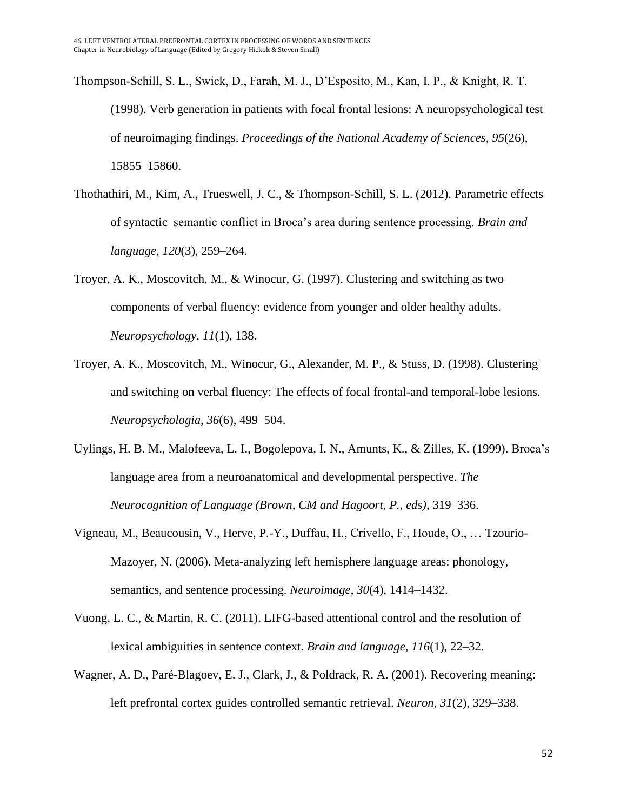Thompson-Schill, S. L., Swick, D., Farah, M. J., D'Esposito, M., Kan, I. P., & Knight, R. T. (1998). Verb generation in patients with focal frontal lesions: A neuropsychological test of neuroimaging findings. *Proceedings of the National Academy of Sciences*, *95*(26), 15855–15860.

- Thothathiri, M., Kim, A., Trueswell, J. C., & Thompson-Schill, S. L. (2012). Parametric effects of syntactic–semantic conflict in Broca's area during sentence processing. *Brain and language*, *120*(3), 259–264.
- Troyer, A. K., Moscovitch, M., & Winocur, G. (1997). Clustering and switching as two components of verbal fluency: evidence from younger and older healthy adults. *Neuropsychology*, *11*(1), 138.
- Troyer, A. K., Moscovitch, M., Winocur, G., Alexander, M. P., & Stuss, D. (1998). Clustering and switching on verbal fluency: The effects of focal frontal-and temporal-lobe lesions. *Neuropsychologia*, *36*(6), 499–504.
- Uylings, H. B. M., Malofeeva, L. I., Bogolepova, I. N., Amunts, K., & Zilles, K. (1999). Broca's language area from a neuroanatomical and developmental perspective. *The Neurocognition of Language (Brown, CM and Hagoort, P., eds)*, 319–336.
- Vigneau, M., Beaucousin, V., Herve, P.-Y., Duffau, H., Crivello, F., Houde, O., … Tzourio-Mazoyer, N. (2006). Meta-analyzing left hemisphere language areas: phonology, semantics, and sentence processing. *Neuroimage*, *30*(4), 1414–1432.
- Vuong, L. C., & Martin, R. C. (2011). LIFG-based attentional control and the resolution of lexical ambiguities in sentence context. *Brain and language*, *116*(1), 22–32.
- Wagner, A. D., Paré-Blagoev, E. J., Clark, J., & Poldrack, R. A. (2001). Recovering meaning: left prefrontal cortex guides controlled semantic retrieval. *Neuron*, *31*(2), 329–338.